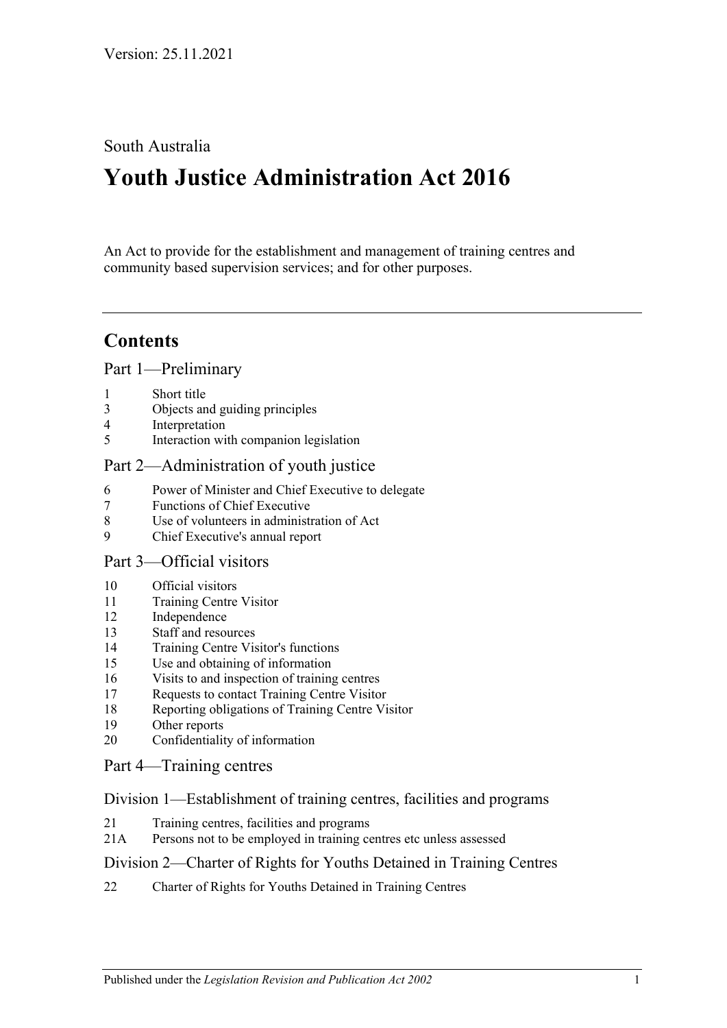### South Australia

# **Youth Justice Administration Act 2016**

An Act to provide for the establishment and management of training centres and community based supervision services; and for other purposes.

## **Contents**

Part [1—Preliminary](#page-2-0)

- 1 [Short title](#page-2-1)
- 3 [Objects and guiding principles](#page-2-2)
- 4 [Interpretation](#page-3-0)
- 5 [Interaction with companion legislation](#page-5-0)

### Part [2—Administration of youth justice](#page-5-1)

- 6 [Power of Minister and Chief Executive to delegate](#page-5-2)
- 7 [Functions of Chief Executive](#page-6-0)
- 8 [Use of volunteers in administration of Act](#page-6-1)
- 9 [Chief Executive's annual report](#page-6-2)

### Part [3—Official visitors](#page-6-3)

- 10 [Official visitors](#page-6-4)
- 11 [Training Centre Visitor](#page-7-0)
- 12 [Independence](#page-8-0)
- 13 [Staff and resources](#page-8-1)
- 14 [Training Centre Visitor's functions](#page-8-2)
- 15 [Use and obtaining of information](#page-9-0)
- 16 [Visits to and inspection of training centres](#page-9-1)
- 17 [Requests to contact Training Centre Visitor](#page-10-0)
- 18 [Reporting obligations of Training Centre Visitor](#page-10-1)
- 19 [Other reports](#page-10-2)
- 20 [Confidentiality of information](#page-11-0)

### Part [4—Training centres](#page-11-1)

### Division [1—Establishment of training centres, facilities and programs](#page-11-2)

- 21 [Training centres, facilities and programs](#page-11-3)
- 21A [Persons not to be employed in training centres etc unless assessed](#page-11-4)

### Division [2—Charter of Rights for Youths Detained in Training Centres](#page-12-0)

22 [Charter of Rights for Youths Detained in Training Centres](#page-12-1)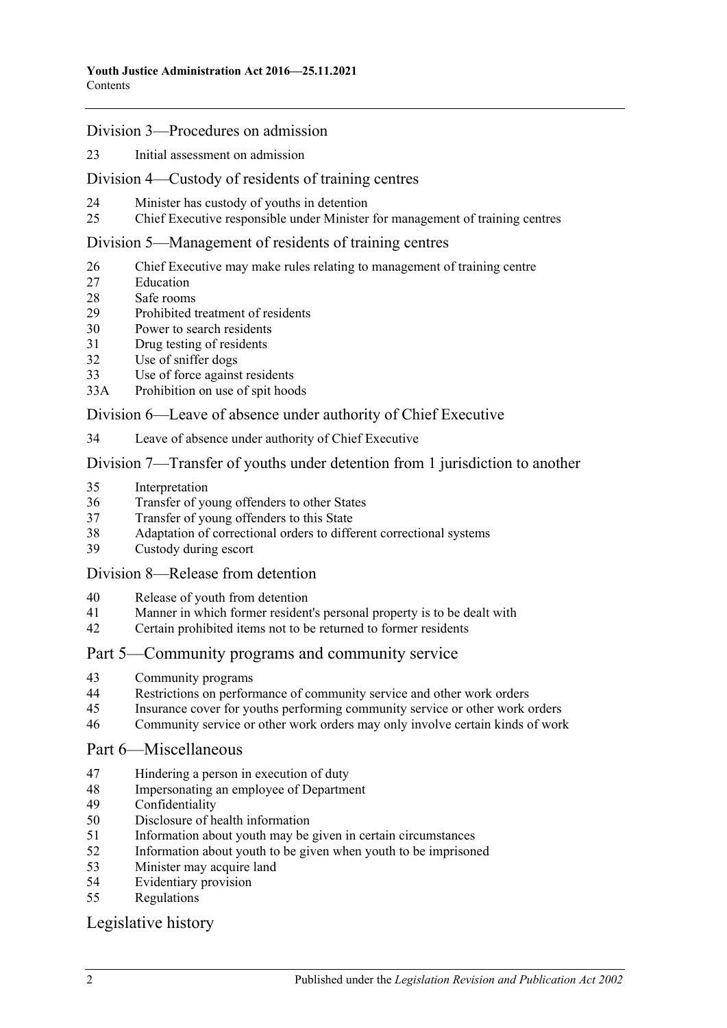#### Division [3—Procedures on admission](#page-12-2)

[Initial assessment on admission](#page-12-3)

#### Division [4—Custody of residents of training centres](#page-14-0)

- [Minister has custody of youths in detention](#page-14-1)
- [Chief Executive responsible under Minister for management of training centres](#page-14-2)

#### Division [5—Management of residents of training centres](#page-15-0)

- [Chief Executive may make rules relating to management of training centre](#page-15-1)
- [Education](#page-15-2)
- [Safe rooms](#page-15-3)
- [Prohibited treatment of residents](#page-17-0)
- [Power to search residents](#page-17-1)
- [Drug testing of residents](#page-19-0)
- [Use of sniffer dogs](#page-19-1)
- [Use of force against residents](#page-20-0)
- 33A [Prohibition on use of spit hoods](#page-21-0)

#### Division [6—Leave of absence under authority of Chief Executive](#page-21-1)

[Leave of absence under authority of Chief Executive](#page-21-2)

#### Division [7—Transfer of youths under detention from 1 jurisdiction to another](#page-22-0)

- [Interpretation](#page-22-1)
- [Transfer of young offenders to other States](#page-23-0)
- [Transfer of young offenders to this State](#page-24-0)
- [Adaptation of correctional orders to different correctional systems](#page-25-0)
- [Custody during escort](#page-25-1)

#### Division [8—Release from detention](#page-25-2)

- [Release of youth from detention](#page-25-3)
- [Manner in which former resident's personal property is to be dealt with](#page-25-4)
- [Certain prohibited items not to be returned to former residents](#page-26-0)

### Part [5—Community programs and community service](#page-26-1)

- [Community programs](#page-26-2)
- [Restrictions on performance of community service and other work orders](#page-27-0)
- [Insurance cover for youths performing community service or other work orders](#page-28-0)
- [Community service or other work orders may only involve certain kinds of work](#page-28-1)

#### Part [6—Miscellaneous](#page-28-2)

- [Hindering a person in execution of duty](#page-28-3)
- [Impersonating an employee of Department](#page-28-4)
- [Confidentiality](#page-29-0)
- [Disclosure of health information](#page-29-1)
- [Information about youth may be given in certain circumstances](#page-29-2)
- [Information about youth to be given when youth to be imprisoned](#page-30-0)
- [Minister may acquire land](#page-30-1)
- [Evidentiary provision](#page-30-2)
- [Regulations](#page-31-0)

### [Legislative history](#page-33-0)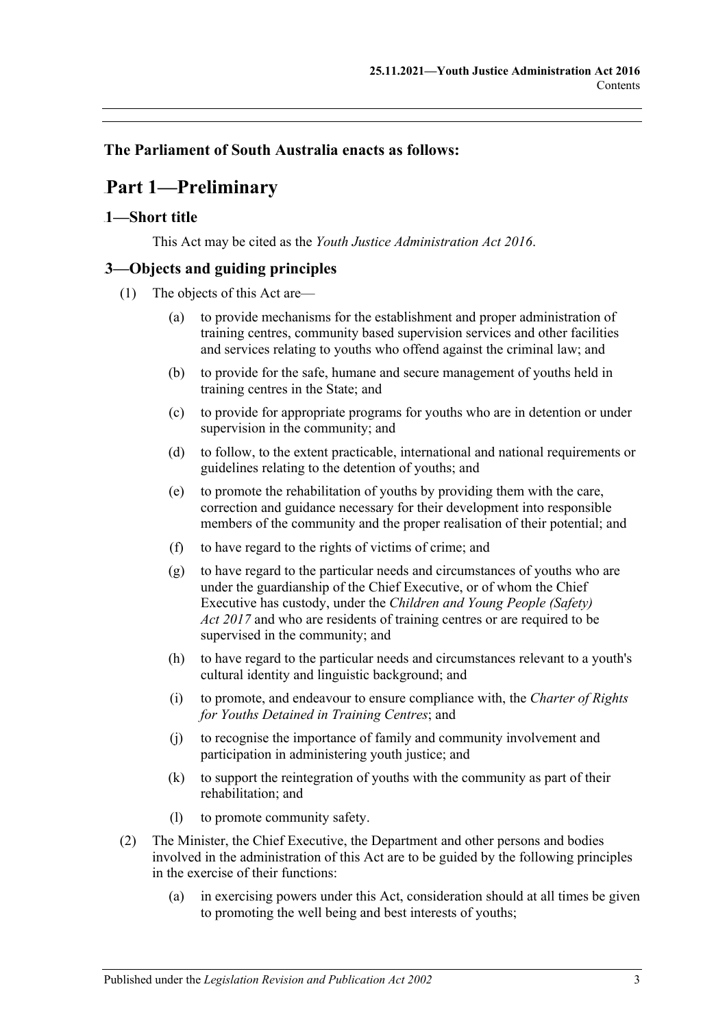### <span id="page-2-0"></span>**The Parliament of South Australia enacts as follows:**

## 65B**Part 1—Preliminary**

### <span id="page-2-1"></span>0B**1—Short title**

This Act may be cited as the *Youth Justice Administration Act 2016*.

### <span id="page-2-2"></span>1B**3—Objects and guiding principles**

- (1) The objects of this Act are—
	- (a) to provide mechanisms for the establishment and proper administration of training centres, community based supervision services and other facilities and services relating to youths who offend against the criminal law; and
	- (b) to provide for the safe, humane and secure management of youths held in training centres in the State; and
	- (c) to provide for appropriate programs for youths who are in detention or under supervision in the community; and
	- (d) to follow, to the extent practicable, international and national requirements or guidelines relating to the detention of youths; and
	- (e) to promote the rehabilitation of youths by providing them with the care, correction and guidance necessary for their development into responsible members of the community and the proper realisation of their potential; and
	- (f) to have regard to the rights of victims of crime; and
	- (g) to have regard to the particular needs and circumstances of youths who are under the guardianship of the Chief Executive, or of whom the Chief Executive has custody, under the *[Children and Young People \(Safety\)](http://www.legislation.sa.gov.au/index.aspx?action=legref&type=act&legtitle=Children%20and%20Young%20People%20(Safety)%20Act%202017)  Act [2017](http://www.legislation.sa.gov.au/index.aspx?action=legref&type=act&legtitle=Children%20and%20Young%20People%20(Safety)%20Act%202017)* and who are residents of training centres or are required to be supervised in the community; and
	- (h) to have regard to the particular needs and circumstances relevant to a youth's cultural identity and linguistic background; and
	- (i) to promote, and endeavour to ensure compliance with, the *Charter of Rights for Youths Detained in Training Centres*; and
	- (j) to recognise the importance of family and community involvement and participation in administering youth justice; and
	- (k) to support the reintegration of youths with the community as part of their rehabilitation; and
	- (l) to promote community safety.
- <span id="page-2-3"></span>(2) The Minister, the Chief Executive, the Department and other persons and bodies involved in the administration of this Act are to be guided by the following principles in the exercise of their functions:
	- (a) in exercising powers under this Act, consideration should at all times be given to promoting the well being and best interests of youths;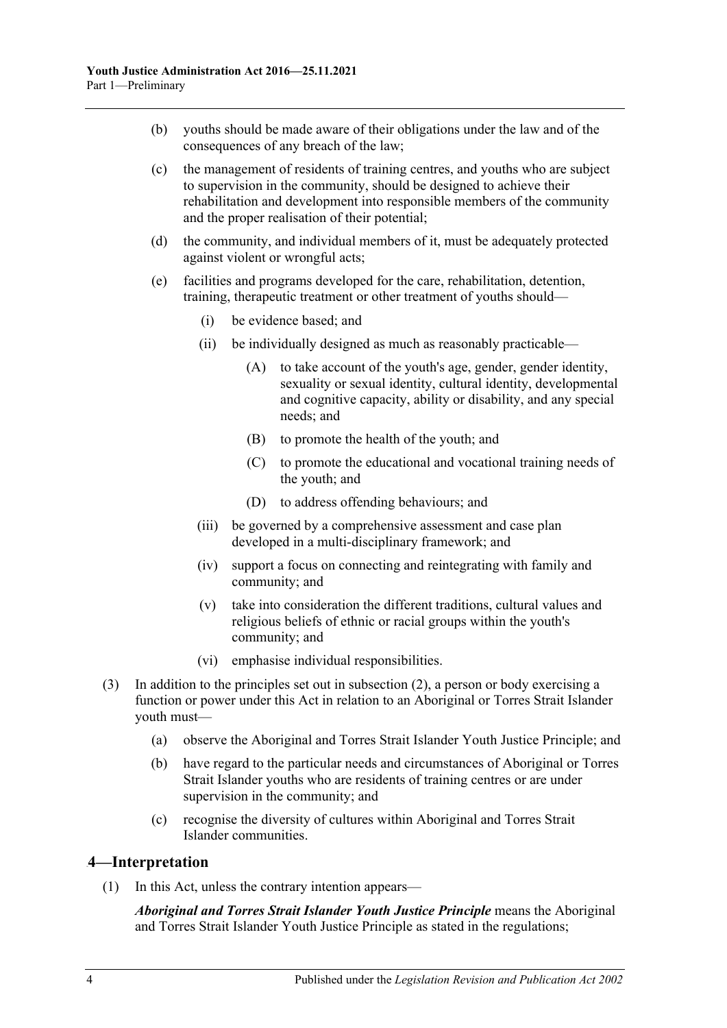- (b) youths should be made aware of their obligations under the law and of the consequences of any breach of the law;
- (c) the management of residents of training centres, and youths who are subject to supervision in the community, should be designed to achieve their rehabilitation and development into responsible members of the community and the proper realisation of their potential;
- (d) the community, and individual members of it, must be adequately protected against violent or wrongful acts;
- (e) facilities and programs developed for the care, rehabilitation, detention, training, therapeutic treatment or other treatment of youths should—
	- (i) be evidence based; and
	- (ii) be individually designed as much as reasonably practicable—
		- (A) to take account of the youth's age, gender, gender identity, sexuality or sexual identity, cultural identity, developmental and cognitive capacity, ability or disability, and any special needs; and
		- (B) to promote the health of the youth; and
		- (C) to promote the educational and vocational training needs of the youth; and
		- (D) to address offending behaviours; and
	- (iii) be governed by a comprehensive assessment and case plan developed in a multi-disciplinary framework; and
	- (iv) support a focus on connecting and reintegrating with family and community; and
	- (v) take into consideration the different traditions, cultural values and religious beliefs of ethnic or racial groups within the youth's community; and
	- (vi) emphasise individual responsibilities.
- (3) In addition to the principles set out in [subsection](#page-2-3) (2), a person or body exercising a function or power under this Act in relation to an Aboriginal or Torres Strait Islander youth must—
	- (a) observe the Aboriginal and Torres Strait Islander Youth Justice Principle; and
	- (b) have regard to the particular needs and circumstances of Aboriginal or Torres Strait Islander youths who are residents of training centres or are under supervision in the community; and
	- (c) recognise the diversity of cultures within Aboriginal and Torres Strait Islander communities.

### <span id="page-3-0"></span>2B**4—Interpretation**

(1) In this Act, unless the contrary intention appears—

*Aboriginal and Torres Strait Islander Youth Justice Principle* means the Aboriginal and Torres Strait Islander Youth Justice Principle as stated in the regulations;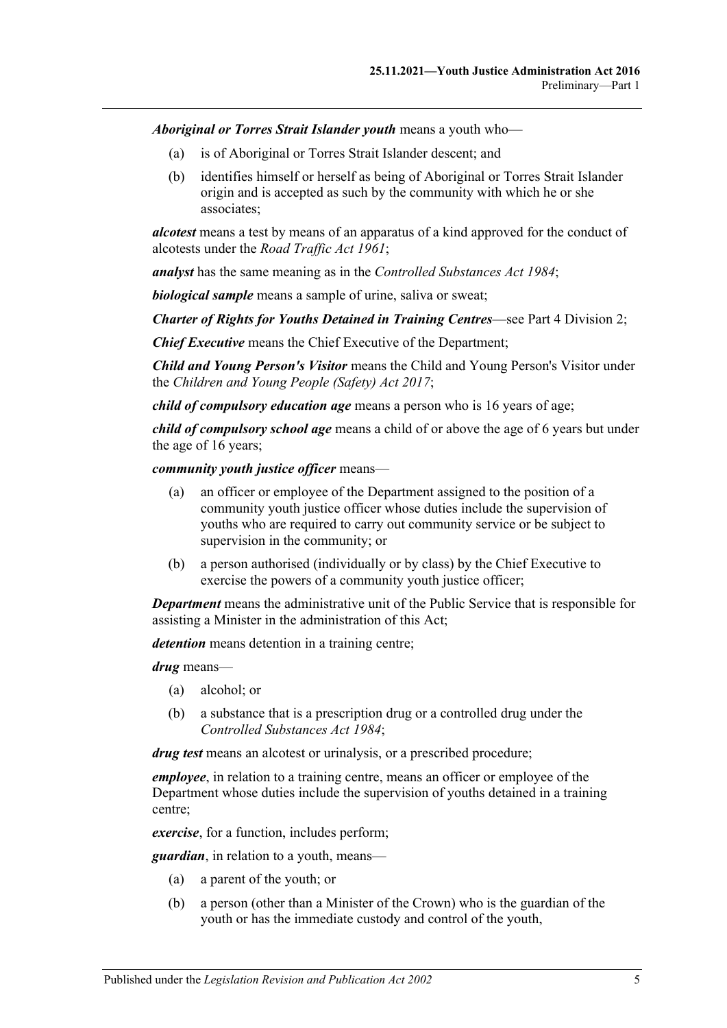*Aboriginal or Torres Strait Islander youth* means a youth who—

- (a) is of Aboriginal or Torres Strait Islander descent; and
- (b) identifies himself or herself as being of Aboriginal or Torres Strait Islander origin and is accepted as such by the community with which he or she associates;

*alcotest* means a test by means of an apparatus of a kind approved for the conduct of alcotests under the *[Road Traffic Act](http://www.legislation.sa.gov.au/index.aspx?action=legref&type=act&legtitle=Road%20Traffic%20Act%201961) 1961*;

*analyst* has the same meaning as in the *[Controlled Substances Act](http://www.legislation.sa.gov.au/index.aspx?action=legref&type=act&legtitle=Controlled%20Substances%20Act%201984) 1984*;

*biological sample* means a sample of urine, saliva or sweat;

*Charter of Rights for Youths Detained in Training Centres*—see Part 4 [Division](#page-12-0) 2;

*Chief Executive* means the Chief Executive of the Department;

*Child and Young Person's Visitor* means the Child and Young Person's Visitor under the *[Children and Young People \(Safety\) Act](http://www.legislation.sa.gov.au/index.aspx?action=legref&type=act&legtitle=Children%20and%20Young%20People%20(Safety)%20Act%202017) 2017*;

*child of compulsory education age* means a person who is 16 years of age;

*child of compulsory school age* means a child of or above the age of 6 years but under the age of 16 years;

*community youth justice officer* means—

- (a) an officer or employee of the Department assigned to the position of a community youth justice officer whose duties include the supervision of youths who are required to carry out community service or be subject to supervision in the community; or
- (b) a person authorised (individually or by class) by the Chief Executive to exercise the powers of a community youth justice officer;

*Department* means the administrative unit of the Public Service that is responsible for assisting a Minister in the administration of this Act;

*detention* means detention in a training centre;

*drug* means—

- (a) alcohol; or
- (b) a substance that is a prescription drug or a controlled drug under the *[Controlled Substances Act](http://www.legislation.sa.gov.au/index.aspx?action=legref&type=act&legtitle=Controlled%20Substances%20Act%201984) 1984*;

*drug test* means an alcotest or urinalysis, or a prescribed procedure;

*employee*, in relation to a training centre, means an officer or employee of the Department whose duties include the supervision of youths detained in a training centre;

*exercise*, for a function, includes perform;

*guardian*, in relation to a youth, means—

- (a) a parent of the youth; or
- (b) a person (other than a Minister of the Crown) who is the guardian of the youth or has the immediate custody and control of the youth,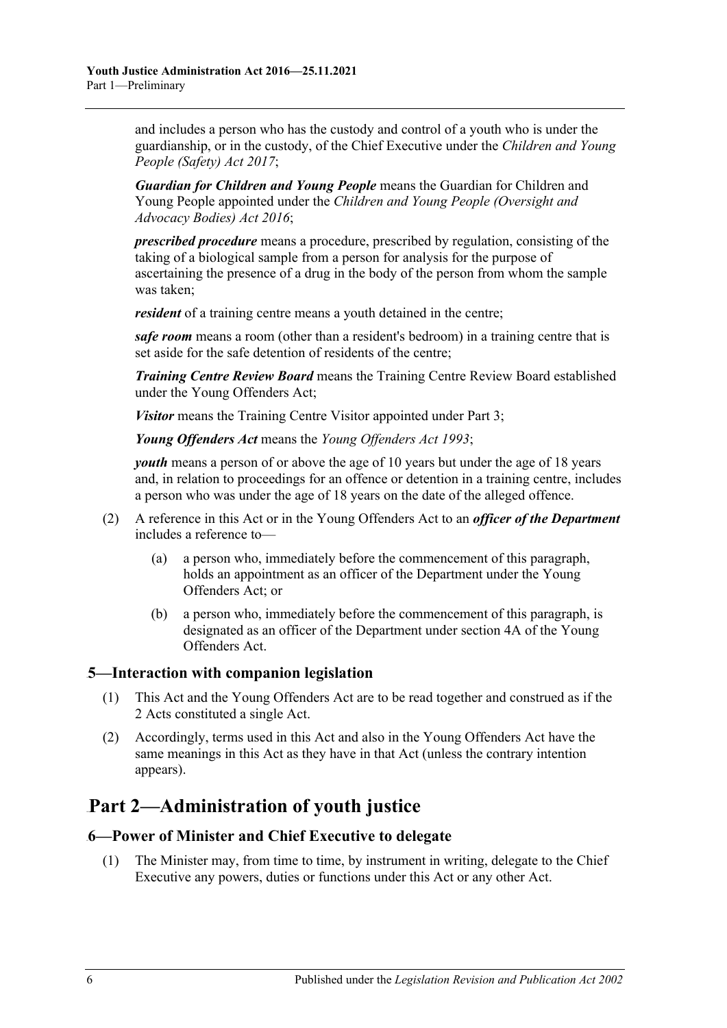and includes a person who has the custody and control of a youth who is under the guardianship, or in the custody, of the Chief Executive under the *[Children and Young](http://www.legislation.sa.gov.au/index.aspx?action=legref&type=act&legtitle=Children%20and%20Young%20People%20(Safety)%20Act%202017)  [People \(Safety\) Act](http://www.legislation.sa.gov.au/index.aspx?action=legref&type=act&legtitle=Children%20and%20Young%20People%20(Safety)%20Act%202017) 2017*;

*Guardian for Children and Young People* means the Guardian for Children and Young People appointed under the *[Children and Young People \(Oversight and](http://www.legislation.sa.gov.au/index.aspx?action=legref&type=act&legtitle=Children%20and%20Young%20People%20(Oversight%20and%20Advocacy%20Bodies)%20Act%202016)  [Advocacy Bodies\) Act](http://www.legislation.sa.gov.au/index.aspx?action=legref&type=act&legtitle=Children%20and%20Young%20People%20(Oversight%20and%20Advocacy%20Bodies)%20Act%202016) 2016*;

*prescribed procedure* means a procedure, prescribed by regulation, consisting of the taking of a biological sample from a person for analysis for the purpose of ascertaining the presence of a drug in the body of the person from whom the sample was taken;

*resident* of a training centre means a youth detained in the centre;

*safe room* means a room (other than a resident's bedroom) in a training centre that is set aside for the safe detention of residents of the centre;

*Training Centre Review Board* means the Training Centre Review Board established under the Young Offenders Act;

*Visitor* means the Training Centre Visitor appointed under [Part](#page-6-3) 3;

*Young Offenders Act* means the *[Young Offenders Act](http://www.legislation.sa.gov.au/index.aspx?action=legref&type=act&legtitle=Young%20Offenders%20Act%201993) 1993*;

*youth* means a person of or above the age of 10 years but under the age of 18 years and, in relation to proceedings for an offence or detention in a training centre, includes a person who was under the age of 18 years on the date of the alleged offence.

- (2) A reference in this Act or in the Young Offenders Act to an *officer of the Department* includes a reference to—
	- (a) a person who, immediately before the commencement of this paragraph, holds an appointment as an officer of the Department under the Young Offenders Act; or
	- (b) a person who, immediately before the commencement of this paragraph, is designated as an officer of the Department under section 4A of the Young Offenders Act.

### <span id="page-5-0"></span>3B**5—Interaction with companion legislation**

- (1) This Act and the Young Offenders Act are to be read together and construed as if the 2 Acts constituted a single Act.
- (2) Accordingly, terms used in this Act and also in the Young Offenders Act have the same meanings in this Act as they have in that Act (unless the contrary intention appears).

## <span id="page-5-1"></span>66B**Part 2—Administration of youth justice**

### <span id="page-5-2"></span>4B**6—Power of Minister and Chief Executive to delegate**

(1) The Minister may, from time to time, by instrument in writing, delegate to the Chief Executive any powers, duties or functions under this Act or any other Act.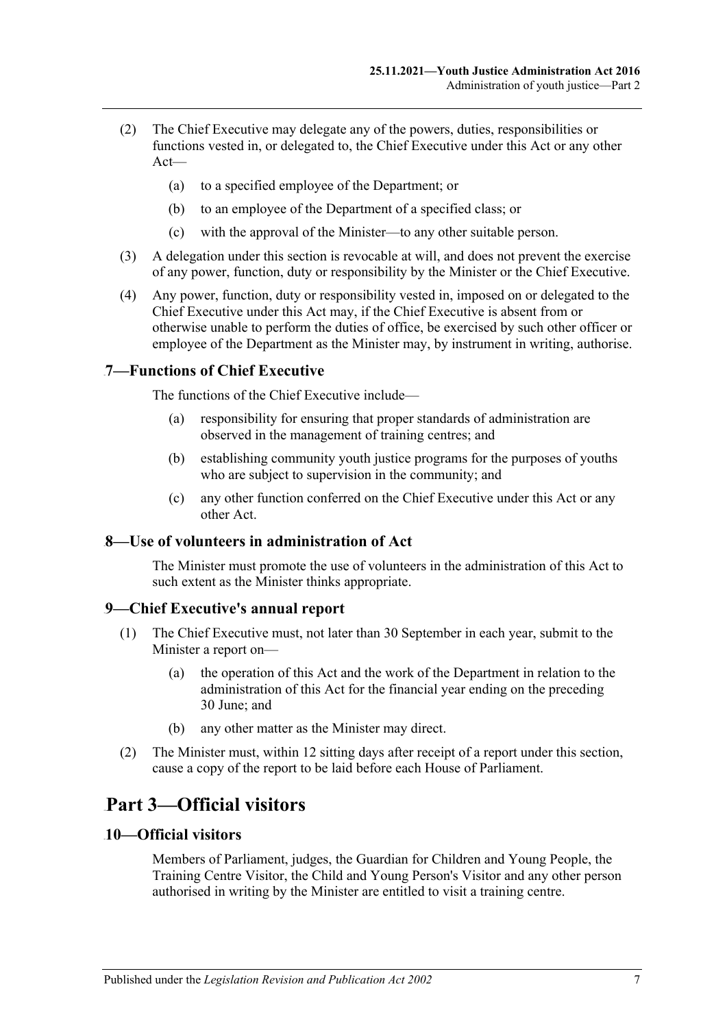- (2) The Chief Executive may delegate any of the powers, duties, responsibilities or functions vested in, or delegated to, the Chief Executive under this Act or any other Act—
	- (a) to a specified employee of the Department; or
	- (b) to an employee of the Department of a specified class; or
	- (c) with the approval of the Minister—to any other suitable person.
- (3) A delegation under this section is revocable at will, and does not prevent the exercise of any power, function, duty or responsibility by the Minister or the Chief Executive.
- (4) Any power, function, duty or responsibility vested in, imposed on or delegated to the Chief Executive under this Act may, if the Chief Executive is absent from or otherwise unable to perform the duties of office, be exercised by such other officer or employee of the Department as the Minister may, by instrument in writing, authorise.

### <span id="page-6-0"></span>5B**7—Functions of Chief Executive**

The functions of the Chief Executive include—

- (a) responsibility for ensuring that proper standards of administration are observed in the management of training centres; and
- (b) establishing community youth justice programs for the purposes of youths who are subject to supervision in the community; and
- (c) any other function conferred on the Chief Executive under this Act or any other Act.

### <span id="page-6-1"></span>6B**8—Use of volunteers in administration of Act**

The Minister must promote the use of volunteers in the administration of this Act to such extent as the Minister thinks appropriate.

#### <span id="page-6-2"></span>7B**9—Chief Executive's annual report**

- (1) The Chief Executive must, not later than 30 September in each year, submit to the Minister a report on—
	- (a) the operation of this Act and the work of the Department in relation to the administration of this Act for the financial year ending on the preceding 30 June; and
	- (b) any other matter as the Minister may direct.
- (2) The Minister must, within 12 sitting days after receipt of a report under this section, cause a copy of the report to be laid before each House of Parliament.

## <span id="page-6-3"></span>67B**Part 3—Official visitors**

#### <span id="page-6-4"></span>8B**10—Official visitors**

Members of Parliament, judges, the Guardian for Children and Young People, the Training Centre Visitor, the Child and Young Person's Visitor and any other person authorised in writing by the Minister are entitled to visit a training centre.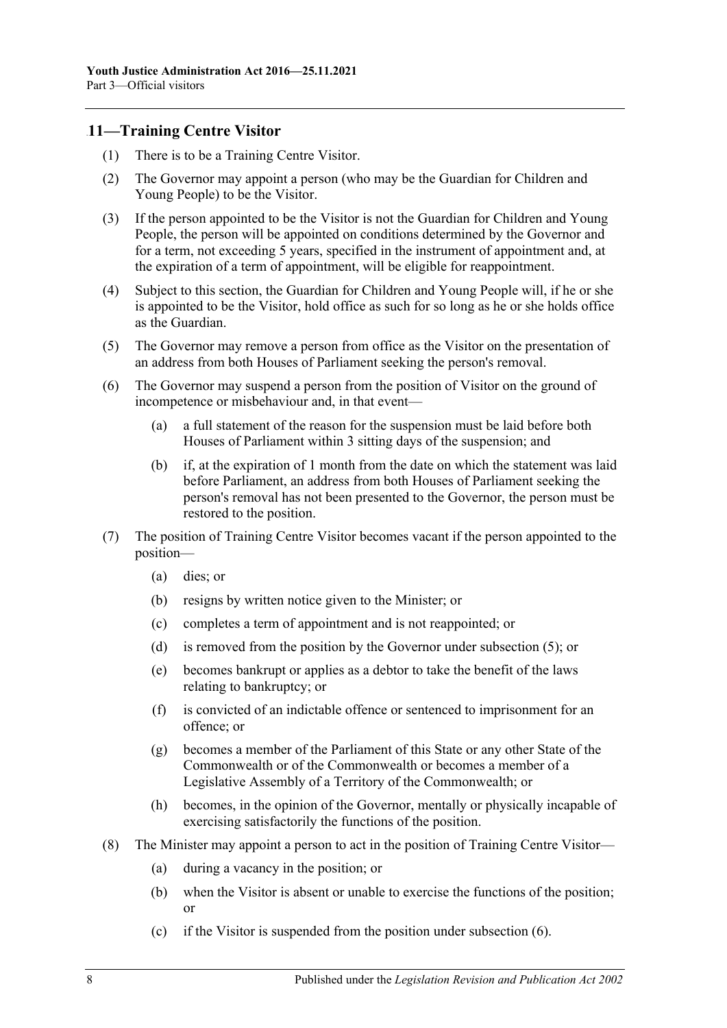### <span id="page-7-0"></span>9B**11—Training Centre Visitor**

- (1) There is to be a Training Centre Visitor.
- (2) The Governor may appoint a person (who may be the Guardian for Children and Young People) to be the Visitor.
- (3) If the person appointed to be the Visitor is not the Guardian for Children and Young People, the person will be appointed on conditions determined by the Governor and for a term, not exceeding 5 years, specified in the instrument of appointment and, at the expiration of a term of appointment, will be eligible for reappointment.
- (4) Subject to this section, the Guardian for Children and Young People will, if he or she is appointed to be the Visitor, hold office as such for so long as he or she holds office as the Guardian.
- <span id="page-7-1"></span>(5) The Governor may remove a person from office as the Visitor on the presentation of an address from both Houses of Parliament seeking the person's removal.
- <span id="page-7-2"></span>(6) The Governor may suspend a person from the position of Visitor on the ground of incompetence or misbehaviour and, in that event—
	- (a) a full statement of the reason for the suspension must be laid before both Houses of Parliament within 3 sitting days of the suspension; and
	- (b) if, at the expiration of 1 month from the date on which the statement was laid before Parliament, an address from both Houses of Parliament seeking the person's removal has not been presented to the Governor, the person must be restored to the position.
- (7) The position of Training Centre Visitor becomes vacant if the person appointed to the position—
	- (a) dies; or
	- (b) resigns by written notice given to the Minister; or
	- (c) completes a term of appointment and is not reappointed; or
	- (d) is removed from the position by the Governor under [subsection](#page-7-1) (5); or
	- (e) becomes bankrupt or applies as a debtor to take the benefit of the laws relating to bankruptcy; or
	- (f) is convicted of an indictable offence or sentenced to imprisonment for an offence; or
	- (g) becomes a member of the Parliament of this State or any other State of the Commonwealth or of the Commonwealth or becomes a member of a Legislative Assembly of a Territory of the Commonwealth; or
	- (h) becomes, in the opinion of the Governor, mentally or physically incapable of exercising satisfactorily the functions of the position.
- (8) The Minister may appoint a person to act in the position of Training Centre Visitor—
	- (a) during a vacancy in the position; or
	- (b) when the Visitor is absent or unable to exercise the functions of the position; or
	- (c) if the Visitor is suspended from the position under [subsection](#page-7-2) (6).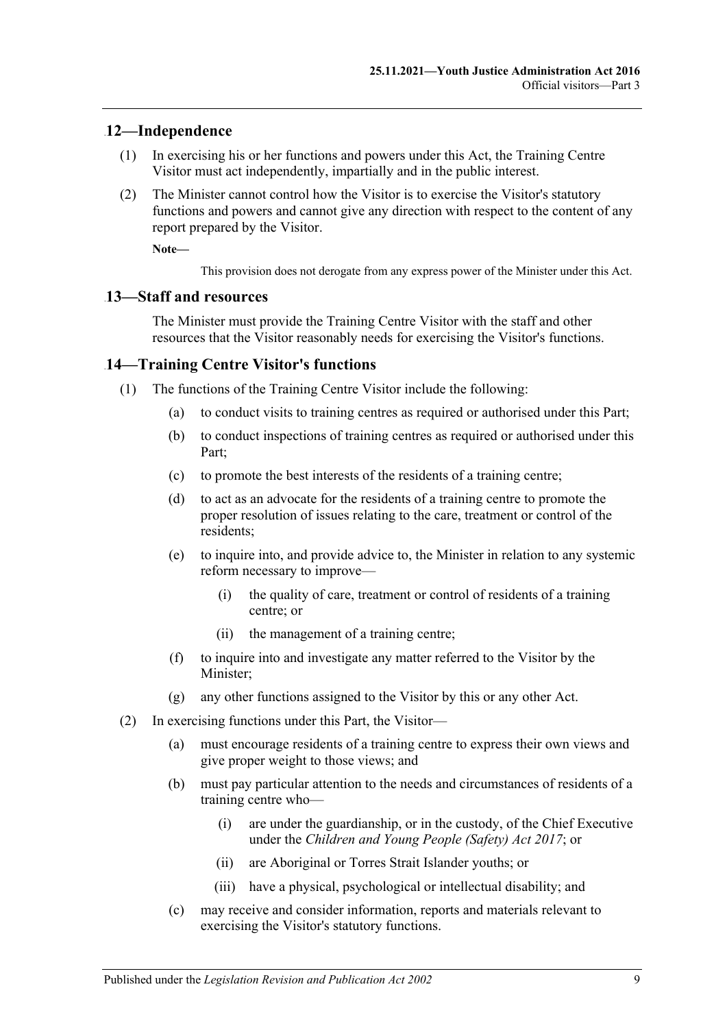### <span id="page-8-0"></span>10B**12—Independence**

- (1) In exercising his or her functions and powers under this Act, the Training Centre Visitor must act independently, impartially and in the public interest.
- (2) The Minister cannot control how the Visitor is to exercise the Visitor's statutory functions and powers and cannot give any direction with respect to the content of any report prepared by the Visitor.

**Note—**

This provision does not derogate from any express power of the Minister under this Act.

#### <span id="page-8-1"></span>11B**13—Staff and resources**

The Minister must provide the Training Centre Visitor with the staff and other resources that the Visitor reasonably needs for exercising the Visitor's functions.

#### <span id="page-8-2"></span>14—Training Centre Visitor's functions

- (1) The functions of the Training Centre Visitor include the following:
	- (a) to conduct visits to training centres as required or authorised under this Part;
	- (b) to conduct inspections of training centres as required or authorised under this Part;
	- (c) to promote the best interests of the residents of a training centre;
	- (d) to act as an advocate for the residents of a training centre to promote the proper resolution of issues relating to the care, treatment or control of the residents;
	- (e) to inquire into, and provide advice to, the Minister in relation to any systemic reform necessary to improve—
		- (i) the quality of care, treatment or control of residents of a training centre; or
		- (ii) the management of a training centre;
	- (f) to inquire into and investigate any matter referred to the Visitor by the Minister;
	- (g) any other functions assigned to the Visitor by this or any other Act.
- (2) In exercising functions under this Part, the Visitor—
	- (a) must encourage residents of a training centre to express their own views and give proper weight to those views; and
	- (b) must pay particular attention to the needs and circumstances of residents of a training centre who—
		- (i) are under the guardianship, or in the custody, of the Chief Executive under the *[Children and Young People \(Safety\) Act](http://www.legislation.sa.gov.au/index.aspx?action=legref&type=act&legtitle=Children%20and%20Young%20People%20(Safety)%20Act%202017) 2017*; or
		- (ii) are Aboriginal or Torres Strait Islander youths; or
		- (iii) have a physical, psychological or intellectual disability; and
	- (c) may receive and consider information, reports and materials relevant to exercising the Visitor's statutory functions.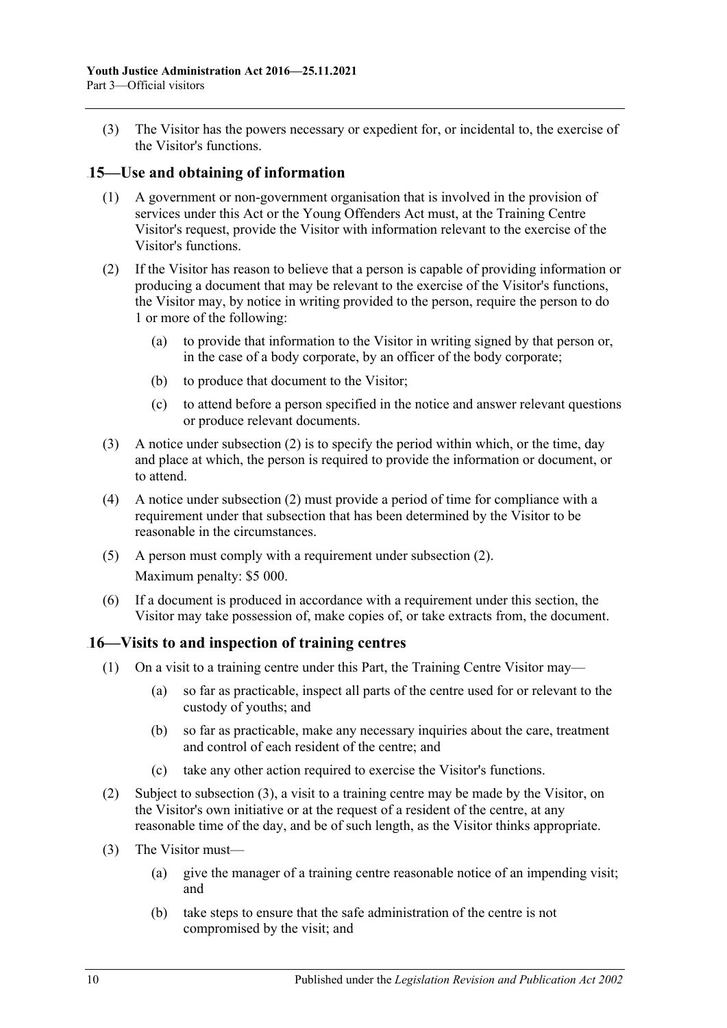(3) The Visitor has the powers necessary or expedient for, or incidental to, the exercise of the Visitor's functions.

### <span id="page-9-0"></span>13B**15—Use and obtaining of information**

- (1) A government or non-government organisation that is involved in the provision of services under this Act or the Young Offenders Act must, at the Training Centre Visitor's request, provide the Visitor with information relevant to the exercise of the Visitor's functions.
- <span id="page-9-2"></span>(2) If the Visitor has reason to believe that a person is capable of providing information or producing a document that may be relevant to the exercise of the Visitor's functions, the Visitor may, by notice in writing provided to the person, require the person to do 1 or more of the following:
	- (a) to provide that information to the Visitor in writing signed by that person or, in the case of a body corporate, by an officer of the body corporate;
	- (b) to produce that document to the Visitor;
	- (c) to attend before a person specified in the notice and answer relevant questions or produce relevant documents.
- (3) A notice under [subsection](#page-9-2) (2) is to specify the period within which, or the time, day and place at which, the person is required to provide the information or document, or to attend.
- (4) A notice under [subsection](#page-9-2) (2) must provide a period of time for compliance with a requirement under that subsection that has been determined by the Visitor to be reasonable in the circumstances.
- (5) A person must comply with a requirement under [subsection](#page-9-2) (2). Maximum penalty: \$5 000.
- (6) If a document is produced in accordance with a requirement under this section, the Visitor may take possession of, make copies of, or take extracts from, the document.

### <span id="page-9-1"></span>14B**16—Visits to and inspection of training centres**

- (1) On a visit to a training centre under this Part, the Training Centre Visitor may—
	- (a) so far as practicable, inspect all parts of the centre used for or relevant to the custody of youths; and
	- (b) so far as practicable, make any necessary inquiries about the care, treatment and control of each resident of the centre; and
	- (c) take any other action required to exercise the Visitor's functions.
- (2) Subject to [subsection](#page-9-3) (3), a visit to a training centre may be made by the Visitor, on the Visitor's own initiative or at the request of a resident of the centre, at any reasonable time of the day, and be of such length, as the Visitor thinks appropriate.
- <span id="page-9-4"></span><span id="page-9-3"></span>(3) The Visitor must—
	- (a) give the manager of a training centre reasonable notice of an impending visit; and
	- (b) take steps to ensure that the safe administration of the centre is not compromised by the visit; and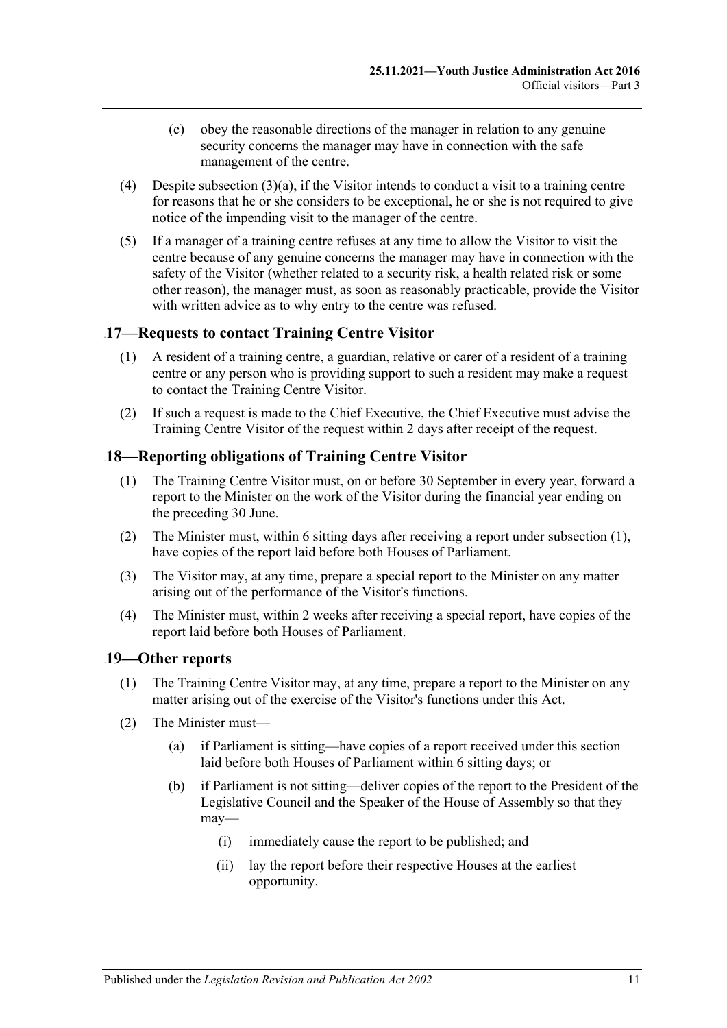- (c) obey the reasonable directions of the manager in relation to any genuine security concerns the manager may have in connection with the safe management of the centre.
- (4) Despite [subsection](#page-9-4) (3)(a), if the Visitor intends to conduct a visit to a training centre for reasons that he or she considers to be exceptional, he or she is not required to give notice of the impending visit to the manager of the centre.
- (5) If a manager of a training centre refuses at any time to allow the Visitor to visit the centre because of any genuine concerns the manager may have in connection with the safety of the Visitor (whether related to a security risk, a health related risk or some other reason), the manager must, as soon as reasonably practicable, provide the Visitor with written advice as to why entry to the centre was refused.

### <span id="page-10-0"></span>15B**17—Requests to contact Training Centre Visitor**

- (1) A resident of a training centre, a guardian, relative or carer of a resident of a training centre or any person who is providing support to such a resident may make a request to contact the Training Centre Visitor.
- (2) If such a request is made to the Chief Executive, the Chief Executive must advise the Training Centre Visitor of the request within 2 days after receipt of the request.

### <span id="page-10-3"></span><span id="page-10-1"></span>18—Reporting obligations of Training Centre Visitor

- (1) The Training Centre Visitor must, on or before 30 September in every year, forward a report to the Minister on the work of the Visitor during the financial year ending on the preceding 30 June.
- (2) The Minister must, within 6 sitting days after receiving a report under [subsection](#page-10-3) (1), have copies of the report laid before both Houses of Parliament.
- (3) The Visitor may, at any time, prepare a special report to the Minister on any matter arising out of the performance of the Visitor's functions.
- (4) The Minister must, within 2 weeks after receiving a special report, have copies of the report laid before both Houses of Parliament.

### <span id="page-10-2"></span>17B**19—Other reports**

- (1) The Training Centre Visitor may, at any time, prepare a report to the Minister on any matter arising out of the exercise of the Visitor's functions under this Act.
- <span id="page-10-4"></span>(2) The Minister must—
	- (a) if Parliament is sitting—have copies of a report received under this section laid before both Houses of Parliament within 6 sitting days; or
	- (b) if Parliament is not sitting—deliver copies of the report to the President of the Legislative Council and the Speaker of the House of Assembly so that they may—
		- (i) immediately cause the report to be published; and
		- (ii) lay the report before their respective Houses at the earliest opportunity.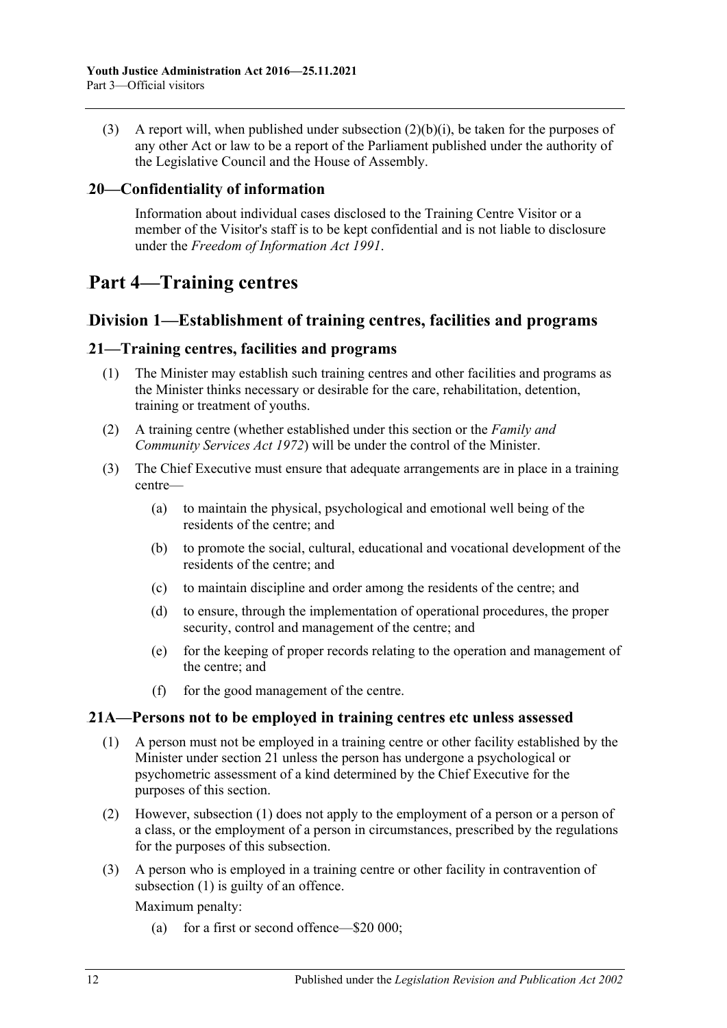(3) A report will, when published under [subsection](#page-10-4)  $(2)(b)(i)$ , be taken for the purposes of any other Act or law to be a report of the Parliament published under the authority of the Legislative Council and the House of Assembly.

### <span id="page-11-0"></span>18B**20—Confidentiality of information**

Information about individual cases disclosed to the Training Centre Visitor or a member of the Visitor's staff is to be kept confidential and is not liable to disclosure under the *[Freedom of Information Act](http://www.legislation.sa.gov.au/index.aspx?action=legref&type=act&legtitle=Freedom%20of%20Information%20Act%201991) 1991*.

## <span id="page-11-1"></span>68B**Part 4—Training centres**

### <span id="page-11-2"></span>56B**Division 1—Establishment of training centres, facilities and programs**

### <span id="page-11-3"></span>32B**21—Training centres, facilities and programs**

- (1) The Minister may establish such training centres and other facilities and programs as the Minister thinks necessary or desirable for the care, rehabilitation, detention, training or treatment of youths.
- (2) A training centre (whether established under this section or the *[Family and](http://www.legislation.sa.gov.au/index.aspx?action=legref&type=act&legtitle=Family%20and%20Community%20Services%20Act%201972)  [Community Services Act](http://www.legislation.sa.gov.au/index.aspx?action=legref&type=act&legtitle=Family%20and%20Community%20Services%20Act%201972) 1972*) will be under the control of the Minister.
- (3) The Chief Executive must ensure that adequate arrangements are in place in a training centre—
	- (a) to maintain the physical, psychological and emotional well being of the residents of the centre; and
	- (b) to promote the social, cultural, educational and vocational development of the residents of the centre; and
	- (c) to maintain discipline and order among the residents of the centre; and
	- (d) to ensure, through the implementation of operational procedures, the proper security, control and management of the centre; and
	- (e) for the keeping of proper records relating to the operation and management of the centre; and
	- (f) for the good management of the centre.

#### <span id="page-11-5"></span><span id="page-11-4"></span>33B**21A—Persons not to be employed in training centres etc unless assessed**

- (1) A person must not be employed in a training centre or other facility established by the Minister under [section](#page-11-3) 21 unless the person has undergone a psychological or psychometric assessment of a kind determined by the Chief Executive for the purposes of this section.
- (2) However, [subsection](#page-11-5) (1) does not apply to the employment of a person or a person of a class, or the employment of a person in circumstances, prescribed by the regulations for the purposes of this subsection.
- (3) A person who is employed in a training centre or other facility in contravention of [subsection](#page-11-5) (1) is guilty of an offence.

Maximum penalty:

(a) for a first or second offence—\$20 000;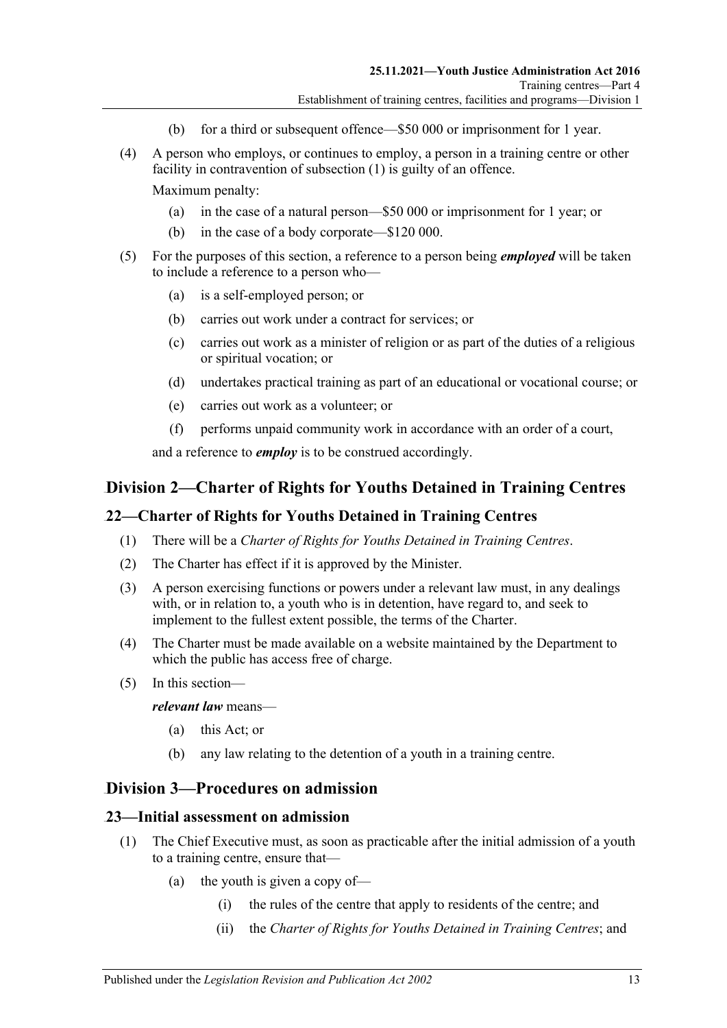- (b) for a third or subsequent offence—\$50 000 or imprisonment for 1 year.
- (4) A person who employs, or continues to employ, a person in a training centre or other facility in contravention of [subsection](#page-11-5) (1) is guilty of an offence.

Maximum penalty:

- (a) in the case of a natural person—\$50 000 or imprisonment for 1 year; or
- (b) in the case of a body corporate—\$120 000.
- (5) For the purposes of this section, a reference to a person being *employed* will be taken to include a reference to a person who—
	- (a) is a self-employed person; or
	- (b) carries out work under a contract for services; or
	- (c) carries out work as a minister of religion or as part of the duties of a religious or spiritual vocation; or
	- (d) undertakes practical training as part of an educational or vocational course; or
	- (e) carries out work as a volunteer; or
	- (f) performs unpaid community work in accordance with an order of a court,

and a reference to *employ* is to be construed accordingly.

### <span id="page-12-0"></span>57B**Division 2—Charter of Rights for Youths Detained in Training Centres**

#### <span id="page-12-1"></span>34B**22—Charter of Rights for Youths Detained in Training Centres**

- (1) There will be a *Charter of Rights for Youths Detained in Training Centres*.
- (2) The Charter has effect if it is approved by the Minister.
- (3) A person exercising functions or powers under a relevant law must, in any dealings with, or in relation to, a youth who is in detention, have regard to, and seek to implement to the fullest extent possible, the terms of the Charter.
- (4) The Charter must be made available on a website maintained by the Department to which the public has access free of charge.
- (5) In this section—

*relevant law* means—

- (a) this Act; or
- (b) any law relating to the detention of a youth in a training centre.

### <span id="page-12-2"></span>58B**Division 3—Procedures on admission**

#### <span id="page-12-3"></span>35B**23—Initial assessment on admission**

- (1) The Chief Executive must, as soon as practicable after the initial admission of a youth to a training centre, ensure that—
	- (a) the youth is given a copy of—
		- (i) the rules of the centre that apply to residents of the centre; and
		- (ii) the *Charter of Rights for Youths Detained in Training Centres*; and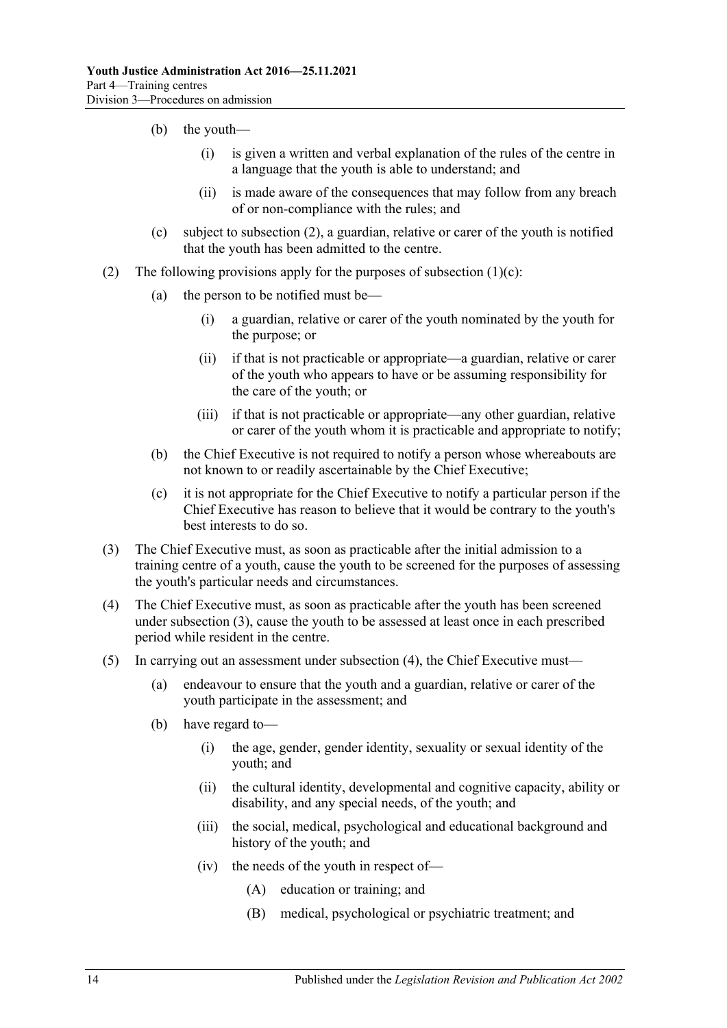- (b) the youth—
	- (i) is given a written and verbal explanation of the rules of the centre in a language that the youth is able to understand; and
	- (ii) is made aware of the consequences that may follow from any breach of or non-compliance with the rules; and
- (c) subject to [subsection](#page-13-0) (2), a guardian, relative or carer of the youth is notified that the youth has been admitted to the centre.
- <span id="page-13-1"></span><span id="page-13-0"></span>(2) The following provisions apply for the purposes of [subsection](#page-13-1)  $(1)(c)$ :
	- (a) the person to be notified must be—
		- (i) a guardian, relative or carer of the youth nominated by the youth for the purpose; or
		- (ii) if that is not practicable or appropriate—a guardian, relative or carer of the youth who appears to have or be assuming responsibility for the care of the youth; or
		- (iii) if that is not practicable or appropriate—any other guardian, relative or carer of the youth whom it is practicable and appropriate to notify;
	- (b) the Chief Executive is not required to notify a person whose whereabouts are not known to or readily ascertainable by the Chief Executive;
	- (c) it is not appropriate for the Chief Executive to notify a particular person if the Chief Executive has reason to believe that it would be contrary to the youth's best interests to do so.
- <span id="page-13-2"></span>(3) The Chief Executive must, as soon as practicable after the initial admission to a training centre of a youth, cause the youth to be screened for the purposes of assessing the youth's particular needs and circumstances.
- <span id="page-13-3"></span>(4) The Chief Executive must, as soon as practicable after the youth has been screened under [subsection](#page-13-2) (3), cause the youth to be assessed at least once in each prescribed period while resident in the centre.
- (5) In carrying out an assessment under [subsection](#page-13-3) (4), the Chief Executive must—
	- (a) endeavour to ensure that the youth and a guardian, relative or carer of the youth participate in the assessment; and
	- (b) have regard to—
		- (i) the age, gender, gender identity, sexuality or sexual identity of the youth; and
		- (ii) the cultural identity, developmental and cognitive capacity, ability or disability, and any special needs, of the youth; and
		- (iii) the social, medical, psychological and educational background and history of the youth; and
		- (iv) the needs of the youth in respect of—
			- (A) education or training; and
			- (B) medical, psychological or psychiatric treatment; and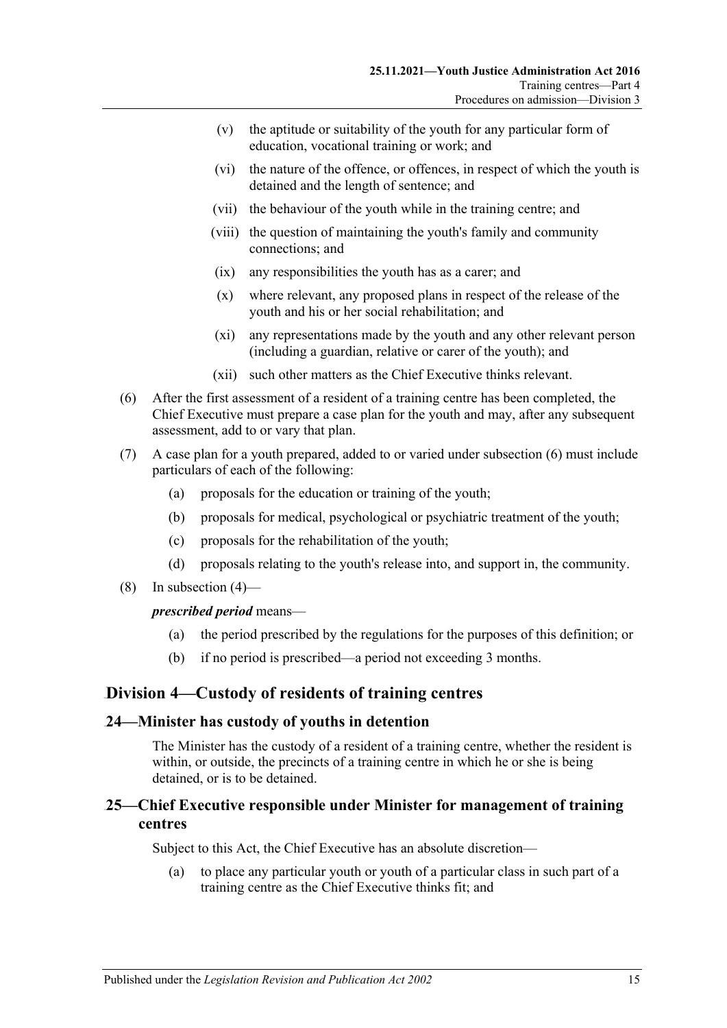- (v) the aptitude or suitability of the youth for any particular form of education, vocational training or work; and
- (vi) the nature of the offence, or offences, in respect of which the youth is detained and the length of sentence; and
- (vii) the behaviour of the youth while in the training centre; and
- (viii) the question of maintaining the youth's family and community connections; and
- (ix) any responsibilities the youth has as a carer; and
- (x) where relevant, any proposed plans in respect of the release of the youth and his or her social rehabilitation; and
- (xi) any representations made by the youth and any other relevant person (including a guardian, relative or carer of the youth); and
- (xii) such other matters as the Chief Executive thinks relevant.
- <span id="page-14-3"></span>(6) After the first assessment of a resident of a training centre has been completed, the Chief Executive must prepare a case plan for the youth and may, after any subsequent assessment, add to or vary that plan.
- (7) A case plan for a youth prepared, added to or varied under [subsection](#page-14-3) (6) must include particulars of each of the following:
	- (a) proposals for the education or training of the youth;
	- (b) proposals for medical, psychological or psychiatric treatment of the youth;
	- (c) proposals for the rehabilitation of the youth;
	- (d) proposals relating to the youth's release into, and support in, the community.
- (8) In [subsection](#page-13-3) (4)—

#### *prescribed period* means—

- (a) the period prescribed by the regulations for the purposes of this definition; or
- (b) if no period is prescribed—a period not exceeding 3 months.

### <span id="page-14-0"></span>59B**Division 4—Custody of residents of training centres**

#### <span id="page-14-1"></span>36B**24—Minister has custody of youths in detention**

The Minister has the custody of a resident of a training centre, whether the resident is within, or outside, the precincts of a training centre in which he or she is being detained, or is to be detained.

### <span id="page-14-2"></span>37B**25—Chief Executive responsible under Minister for management of training centres**

Subject to this Act, the Chief Executive has an absolute discretion—

(a) to place any particular youth or youth of a particular class in such part of a training centre as the Chief Executive thinks fit; and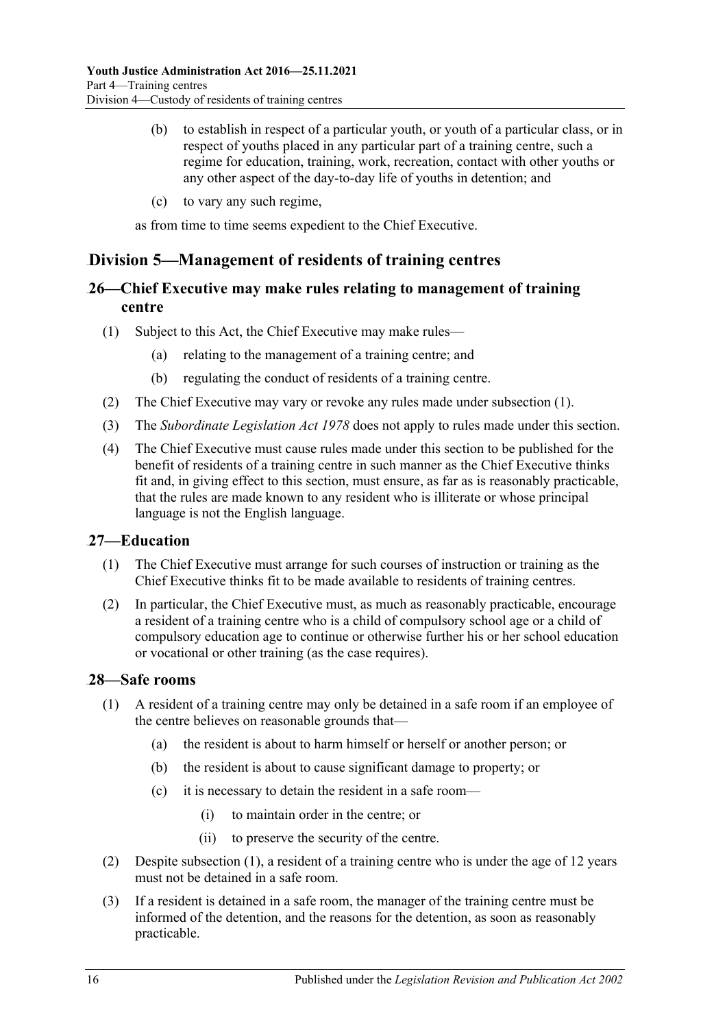- (b) to establish in respect of a particular youth, or youth of a particular class, or in respect of youths placed in any particular part of a training centre, such a regime for education, training, work, recreation, contact with other youths or any other aspect of the day-to-day life of youths in detention; and
- (c) to vary any such regime,

as from time to time seems expedient to the Chief Executive.

### <span id="page-15-0"></span>60B**Division 5—Management of residents of training centres**

### <span id="page-15-1"></span>38B**26—Chief Executive may make rules relating to management of training centre**

- <span id="page-15-4"></span>(1) Subject to this Act, the Chief Executive may make rules—
	- (a) relating to the management of a training centre; and
	- (b) regulating the conduct of residents of a training centre.
- (2) The Chief Executive may vary or revoke any rules made under [subsection](#page-15-4) (1).
- (3) The *[Subordinate Legislation Act](http://www.legislation.sa.gov.au/index.aspx?action=legref&type=act&legtitle=Subordinate%20Legislation%20Act%201978) 1978* does not apply to rules made under this section.
- (4) The Chief Executive must cause rules made under this section to be published for the benefit of residents of a training centre in such manner as the Chief Executive thinks fit and, in giving effect to this section, must ensure, as far as is reasonably practicable, that the rules are made known to any resident who is illiterate or whose principal language is not the English language.

### <span id="page-15-2"></span>39B**27—Education**

- (1) The Chief Executive must arrange for such courses of instruction or training as the Chief Executive thinks fit to be made available to residents of training centres.
- (2) In particular, the Chief Executive must, as much as reasonably practicable, encourage a resident of a training centre who is a child of compulsory school age or a child of compulsory education age to continue or otherwise further his or her school education or vocational or other training (as the case requires).

### <span id="page-15-5"></span><span id="page-15-3"></span>40B**28—Safe rooms**

- (1) A resident of a training centre may only be detained in a safe room if an employee of the centre believes on reasonable grounds that—
	- (a) the resident is about to harm himself or herself or another person; or
	- (b) the resident is about to cause significant damage to property; or
	- (c) it is necessary to detain the resident in a safe room—
		- (i) to maintain order in the centre; or
		- (ii) to preserve the security of the centre.
- (2) Despite [subsection](#page-15-5) (1), a resident of a training centre who is under the age of 12 years must not be detained in a safe room.
- (3) If a resident is detained in a safe room, the manager of the training centre must be informed of the detention, and the reasons for the detention, as soon as reasonably practicable.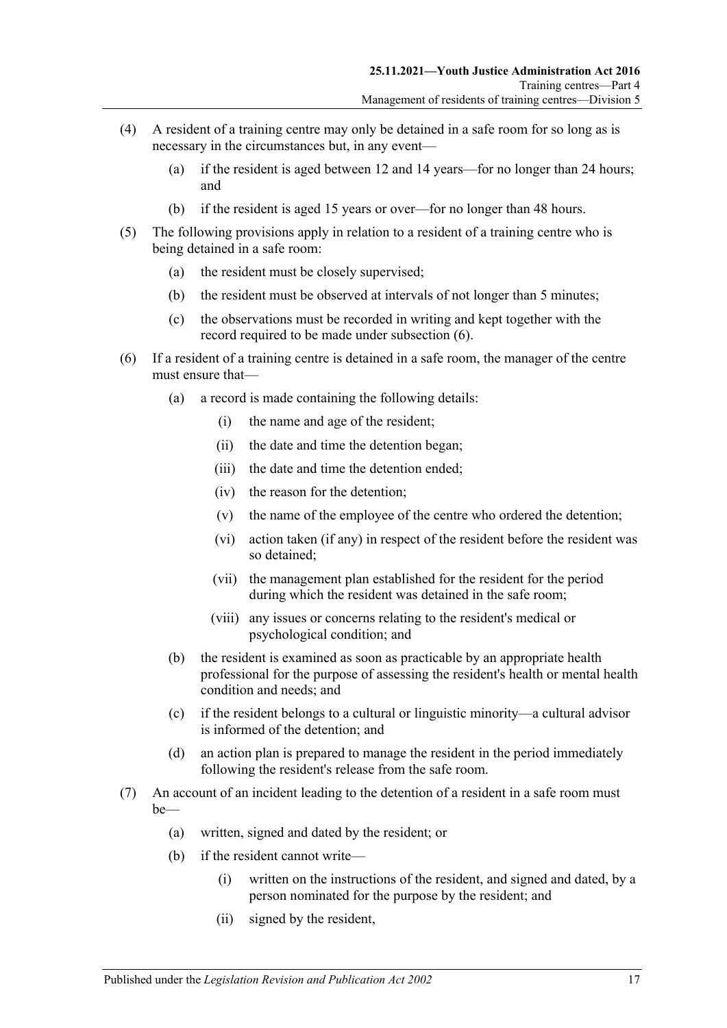- (4) A resident of a training centre may only be detained in a safe room for so long as is necessary in the circumstances but, in any event—
	- (a) if the resident is aged between 12 and 14 years—for no longer than 24 hours; and
	- (b) if the resident is aged 15 years or over—for no longer than 48 hours.
- (5) The following provisions apply in relation to a resident of a training centre who is being detained in a safe room:
	- (a) the resident must be closely supervised;
	- (b) the resident must be observed at intervals of not longer than 5 minutes;
	- (c) the observations must be recorded in writing and kept together with the record required to be made under [subsection](#page-16-0) (6).
- <span id="page-16-0"></span>(6) If a resident of a training centre is detained in a safe room, the manager of the centre must ensure that—
	- (a) a record is made containing the following details:
		- (i) the name and age of the resident;
		- (ii) the date and time the detention began;
		- (iii) the date and time the detention ended;
		- (iv) the reason for the detention;
		- (v) the name of the employee of the centre who ordered the detention;
		- (vi) action taken (if any) in respect of the resident before the resident was so detained;
		- (vii) the management plan established for the resident for the period during which the resident was detained in the safe room;
		- (viii) any issues or concerns relating to the resident's medical or psychological condition; and
	- (b) the resident is examined as soon as practicable by an appropriate health professional for the purpose of assessing the resident's health or mental health condition and needs; and
	- (c) if the resident belongs to a cultural or linguistic minority—a cultural advisor is informed of the detention; and
	- (d) an action plan is prepared to manage the resident in the period immediately following the resident's release from the safe room.
- <span id="page-16-1"></span>(7) An account of an incident leading to the detention of a resident in a safe room must be—
	- (a) written, signed and dated by the resident; or
	- (b) if the resident cannot write—
		- (i) written on the instructions of the resident, and signed and dated, by a person nominated for the purpose by the resident; and
		- (ii) signed by the resident,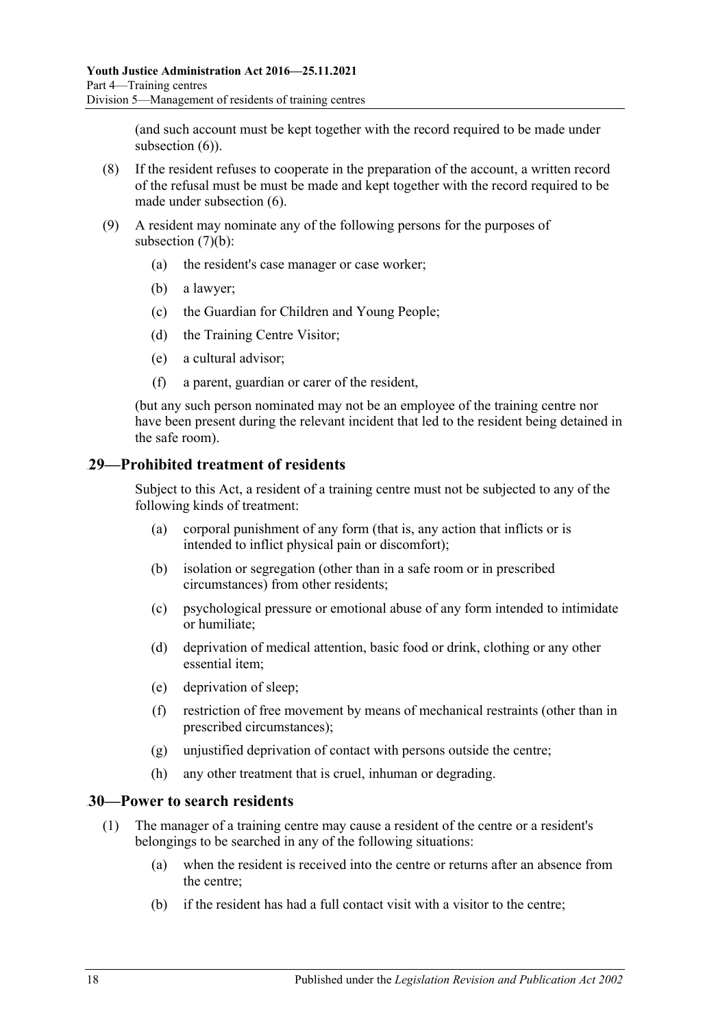(and such account must be kept together with the record required to be made under [subsection](#page-16-0) (6)).

- (8) If the resident refuses to cooperate in the preparation of the account, a written record of the refusal must be must be made and kept together with the record required to be made under [subsection](#page-16-0) (6).
- (9) A resident may nominate any of the following persons for the purposes of [subsection](#page-16-1)  $(7)(b)$ :
	- (a) the resident's case manager or case worker;
	- (b) a lawyer;
	- (c) the Guardian for Children and Young People;
	- (d) the Training Centre Visitor;
	- (e) a cultural advisor;
	- (f) a parent, guardian or carer of the resident,

(but any such person nominated may not be an employee of the training centre nor have been present during the relevant incident that led to the resident being detained in the safe room).

#### <span id="page-17-0"></span>41B**29—Prohibited treatment of residents**

Subject to this Act, a resident of a training centre must not be subjected to any of the following kinds of treatment:

- (a) corporal punishment of any form (that is, any action that inflicts or is intended to inflict physical pain or discomfort);
- (b) isolation or segregation (other than in a safe room or in prescribed circumstances) from other residents;
- (c) psychological pressure or emotional abuse of any form intended to intimidate or humiliate;
- (d) deprivation of medical attention, basic food or drink, clothing or any other essential item;
- (e) deprivation of sleep;
- (f) restriction of free movement by means of mechanical restraints (other than in prescribed circumstances);
- (g) unjustified deprivation of contact with persons outside the centre;
- (h) any other treatment that is cruel, inhuman or degrading.

#### <span id="page-17-1"></span>42B**30—Power to search residents**

- (1) The manager of a training centre may cause a resident of the centre or a resident's belongings to be searched in any of the following situations:
	- (a) when the resident is received into the centre or returns after an absence from the centre;
	- (b) if the resident has had a full contact visit with a visitor to the centre;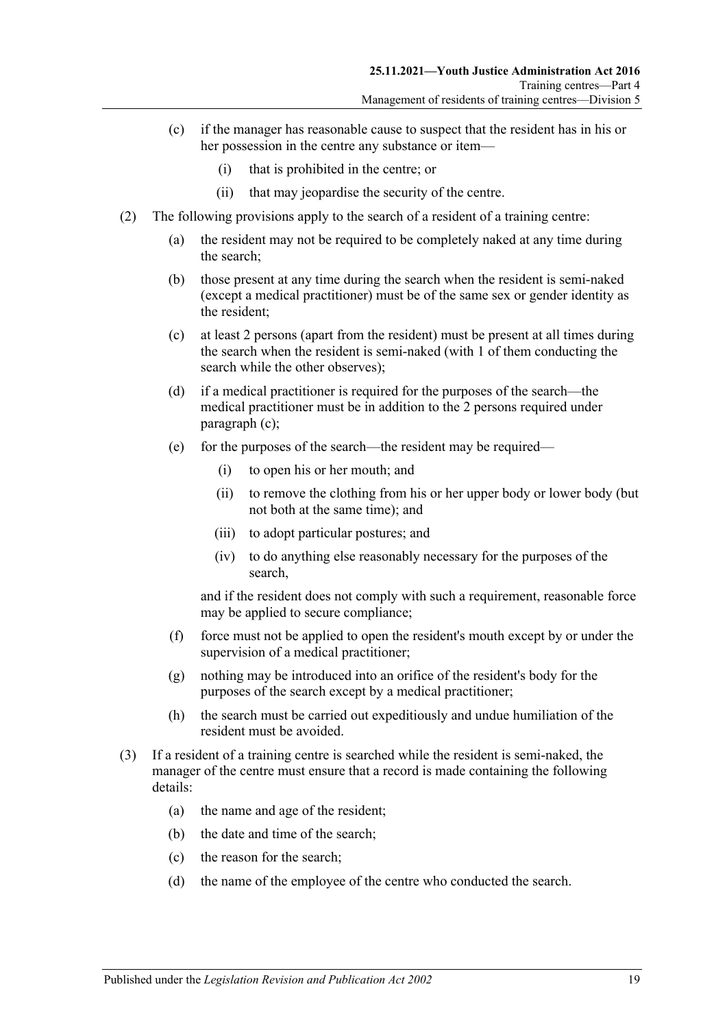- (c) if the manager has reasonable cause to suspect that the resident has in his or her possession in the centre any substance or item—
	- (i) that is prohibited in the centre; or
	- (ii) that may jeopardise the security of the centre.
- <span id="page-18-1"></span><span id="page-18-0"></span>(2) The following provisions apply to the search of a resident of a training centre:
	- (a) the resident may not be required to be completely naked at any time during the search;
	- (b) those present at any time during the search when the resident is semi-naked (except a medical practitioner) must be of the same sex or gender identity as the resident;
	- (c) at least 2 persons (apart from the resident) must be present at all times during the search when the resident is semi-naked (with 1 of them conducting the search while the other observes);
	- (d) if a medical practitioner is required for the purposes of the search—the medical practitioner must be in addition to the 2 persons required under [paragraph](#page-18-0) (c);
	- (e) for the purposes of the search—the resident may be required—
		- (i) to open his or her mouth; and
		- (ii) to remove the clothing from his or her upper body or lower body (but not both at the same time); and
		- (iii) to adopt particular postures; and
		- (iv) to do anything else reasonably necessary for the purposes of the search,

and if the resident does not comply with such a requirement, reasonable force may be applied to secure compliance;

- (f) force must not be applied to open the resident's mouth except by or under the supervision of a medical practitioner;
- (g) nothing may be introduced into an orifice of the resident's body for the purposes of the search except by a medical practitioner;
- (h) the search must be carried out expeditiously and undue humiliation of the resident must be avoided.
- (3) If a resident of a training centre is searched while the resident is semi-naked, the manager of the centre must ensure that a record is made containing the following details:
	- (a) the name and age of the resident;
	- (b) the date and time of the search;
	- (c) the reason for the search;
	- (d) the name of the employee of the centre who conducted the search.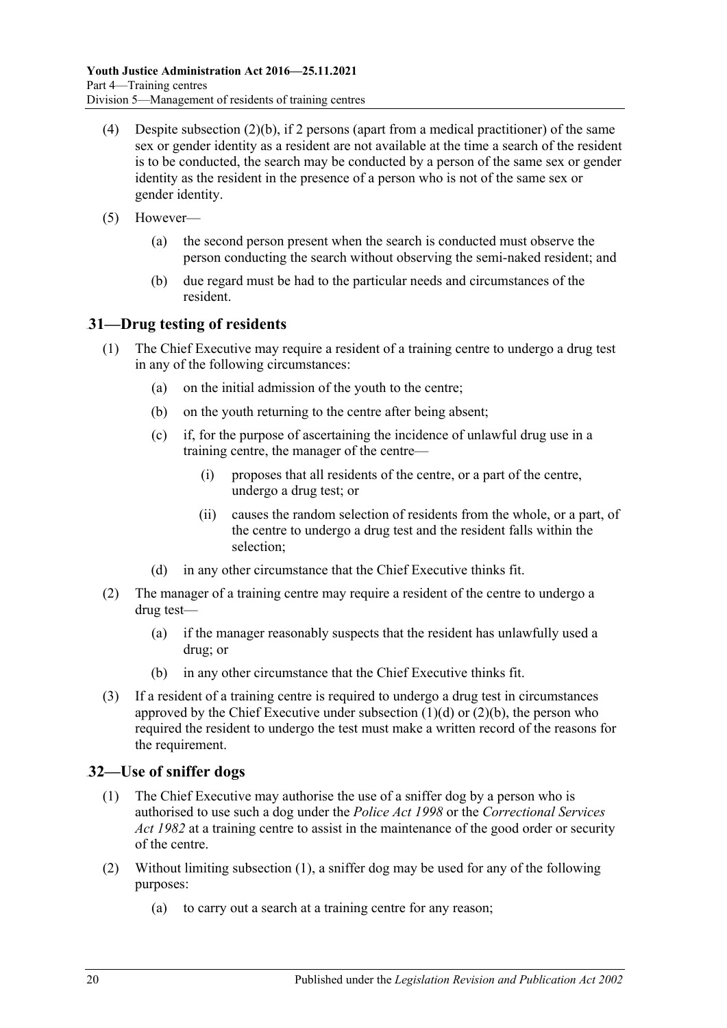- (4) Despite [subsection](#page-18-1)  $(2)(b)$ , if 2 persons (apart from a medical practitioner) of the same sex or gender identity as a resident are not available at the time a search of the resident is to be conducted, the search may be conducted by a person of the same sex or gender identity as the resident in the presence of a person who is not of the same sex or gender identity.
- (5) However—
	- (a) the second person present when the search is conducted must observe the person conducting the search without observing the semi-naked resident; and
	- (b) due regard must be had to the particular needs and circumstances of the resident.

### <span id="page-19-0"></span>43B**31—Drug testing of residents**

- (1) The Chief Executive may require a resident of a training centre to undergo a drug test in any of the following circumstances:
	- (a) on the initial admission of the youth to the centre;
	- (b) on the youth returning to the centre after being absent;
	- (c) if, for the purpose of ascertaining the incidence of unlawful drug use in a training centre, the manager of the centre—
		- (i) proposes that all residents of the centre, or a part of the centre, undergo a drug test; or
		- (ii) causes the random selection of residents from the whole, or a part, of the centre to undergo a drug test and the resident falls within the selection;
	- (d) in any other circumstance that the Chief Executive thinks fit.
- <span id="page-19-2"></span>(2) The manager of a training centre may require a resident of the centre to undergo a drug test—
	- (a) if the manager reasonably suspects that the resident has unlawfully used a drug; or
	- (b) in any other circumstance that the Chief Executive thinks fit.
- <span id="page-19-3"></span>(3) If a resident of a training centre is required to undergo a drug test in circumstances approved by the Chief Executive under [subsection](#page-19-2)  $(1)(d)$  or  $(2)(b)$ , the person who required the resident to undergo the test must make a written record of the reasons for the requirement.

### <span id="page-19-4"></span><span id="page-19-1"></span>44B**32—Use of sniffer dogs**

- (1) The Chief Executive may authorise the use of a sniffer dog by a person who is authorised to use such a dog under the *[Police Act](http://www.legislation.sa.gov.au/index.aspx?action=legref&type=act&legtitle=Police%20Act%201998) 1998* or the *[Correctional Services](http://www.legislation.sa.gov.au/index.aspx?action=legref&type=act&legtitle=Correctional%20Services%20Act%201982)  Act [1982](http://www.legislation.sa.gov.au/index.aspx?action=legref&type=act&legtitle=Correctional%20Services%20Act%201982)* at a training centre to assist in the maintenance of the good order or security of the centre.
- (2) Without limiting [subsection](#page-19-4) (1), a sniffer dog may be used for any of the following purposes:
	- (a) to carry out a search at a training centre for any reason;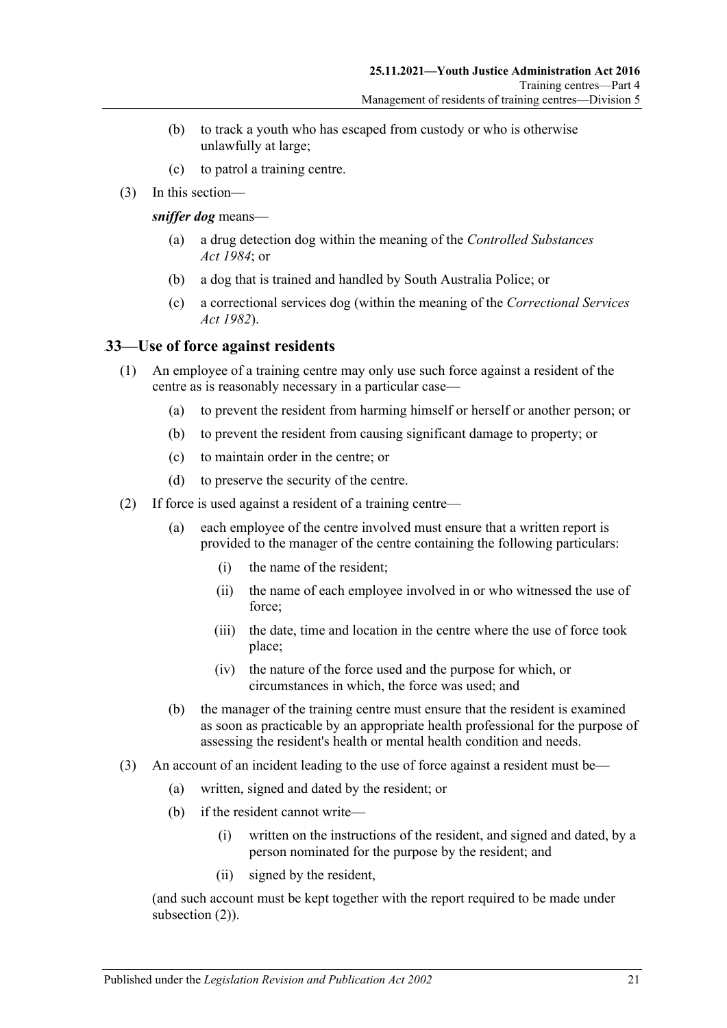- (b) to track a youth who has escaped from custody or who is otherwise unlawfully at large;
- (c) to patrol a training centre.
- (3) In this section—

*sniffer dog* means—

- (a) a drug detection dog within the meaning of the *[Controlled Substances](http://www.legislation.sa.gov.au/index.aspx?action=legref&type=act&legtitle=Controlled%20Substances%20Act%201984)  Act [1984](http://www.legislation.sa.gov.au/index.aspx?action=legref&type=act&legtitle=Controlled%20Substances%20Act%201984)*; or
- (b) a dog that is trained and handled by South Australia Police; or
- (c) a correctional services dog (within the meaning of the *[Correctional Services](http://www.legislation.sa.gov.au/index.aspx?action=legref&type=act&legtitle=Correctional%20Services%20Act%201982)  Act [1982](http://www.legislation.sa.gov.au/index.aspx?action=legref&type=act&legtitle=Correctional%20Services%20Act%201982)*).

### <span id="page-20-0"></span>45B**33—Use of force against residents**

- (1) An employee of a training centre may only use such force against a resident of the centre as is reasonably necessary in a particular case—
	- (a) to prevent the resident from harming himself or herself or another person; or
	- (b) to prevent the resident from causing significant damage to property; or
	- (c) to maintain order in the centre; or
	- (d) to preserve the security of the centre.
- <span id="page-20-1"></span>(2) If force is used against a resident of a training centre—
	- (a) each employee of the centre involved must ensure that a written report is provided to the manager of the centre containing the following particulars:
		- (i) the name of the resident;
		- (ii) the name of each employee involved in or who witnessed the use of force;
		- (iii) the date, time and location in the centre where the use of force took place;
		- (iv) the nature of the force used and the purpose for which, or circumstances in which, the force was used; and
	- (b) the manager of the training centre must ensure that the resident is examined as soon as practicable by an appropriate health professional for the purpose of assessing the resident's health or mental health condition and needs.
- <span id="page-20-2"></span>(3) An account of an incident leading to the use of force against a resident must be—
	- (a) written, signed and dated by the resident; or
	- (b) if the resident cannot write—
		- (i) written on the instructions of the resident, and signed and dated, by a person nominated for the purpose by the resident; and
		- (ii) signed by the resident,

(and such account must be kept together with the report required to be made under [subsection](#page-20-1)  $(2)$ ).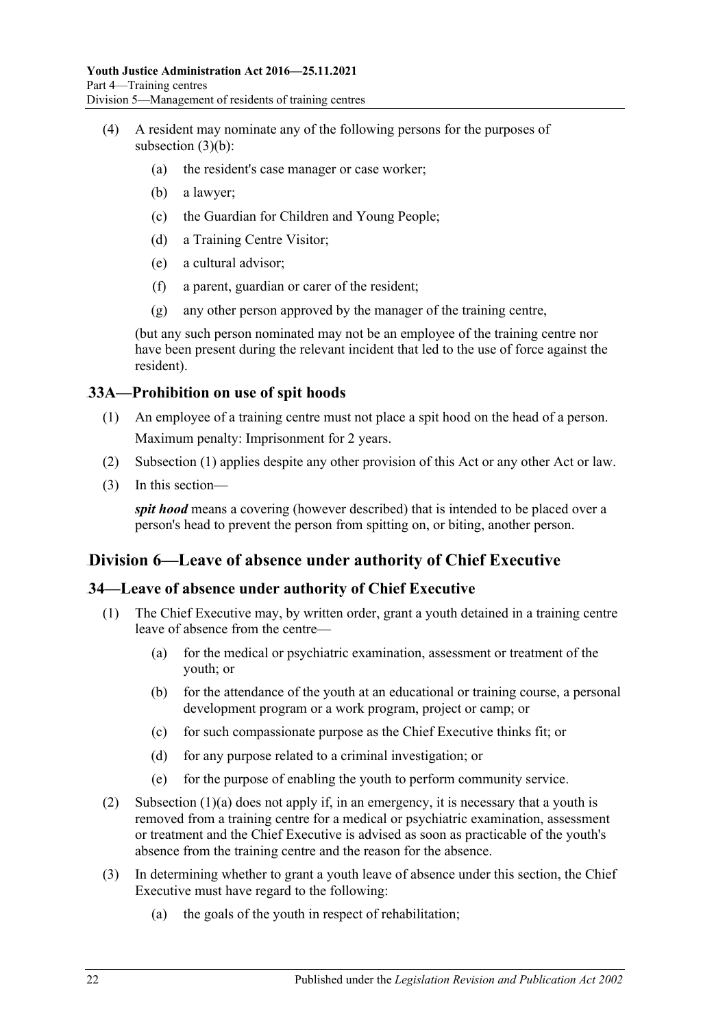- (4) A resident may nominate any of the following persons for the purposes of [subsection](#page-20-2) (3)(b):
	- (a) the resident's case manager or case worker;
	- (b) a lawyer;
	- (c) the Guardian for Children and Young People;
	- (d) a Training Centre Visitor;
	- (e) a cultural advisor;
	- (f) a parent, guardian or carer of the resident;
	- (g) any other person approved by the manager of the training centre,

(but any such person nominated may not be an employee of the training centre nor have been present during the relevant incident that led to the use of force against the resident).

### <span id="page-21-3"></span><span id="page-21-0"></span>46B**33A—Prohibition on use of spit hoods**

- (1) An employee of a training centre must not place a spit hood on the head of a person. Maximum penalty: Imprisonment for 2 years.
- (2) [Subsection](#page-21-3) (1) applies despite any other provision of this Act or any other Act or law.
- (3) In this section—

*spit hood* means a covering (however described) that is intended to be placed over a person's head to prevent the person from spitting on, or biting, another person.

### <span id="page-21-1"></span>61B**Division 6—Leave of absence under authority of Chief Executive**

### <span id="page-21-2"></span>47B**34—Leave of absence under authority of Chief Executive**

- <span id="page-21-4"></span>(1) The Chief Executive may, by written order, grant a youth detained in a training centre leave of absence from the centre—
	- (a) for the medical or psychiatric examination, assessment or treatment of the youth; or
	- (b) for the attendance of the youth at an educational or training course, a personal development program or a work program, project or camp; or
	- (c) for such compassionate purpose as the Chief Executive thinks fit; or
	- (d) for any purpose related to a criminal investigation; or
	- (e) for the purpose of enabling the youth to perform community service.
- (2) [Subsection \(1\)\(a\)](#page-21-4) does not apply if, in an emergency, it is necessary that a youth is removed from a training centre for a medical or psychiatric examination, assessment or treatment and the Chief Executive is advised as soon as practicable of the youth's absence from the training centre and the reason for the absence.
- (3) In determining whether to grant a youth leave of absence under this section, the Chief Executive must have regard to the following:
	- (a) the goals of the youth in respect of rehabilitation;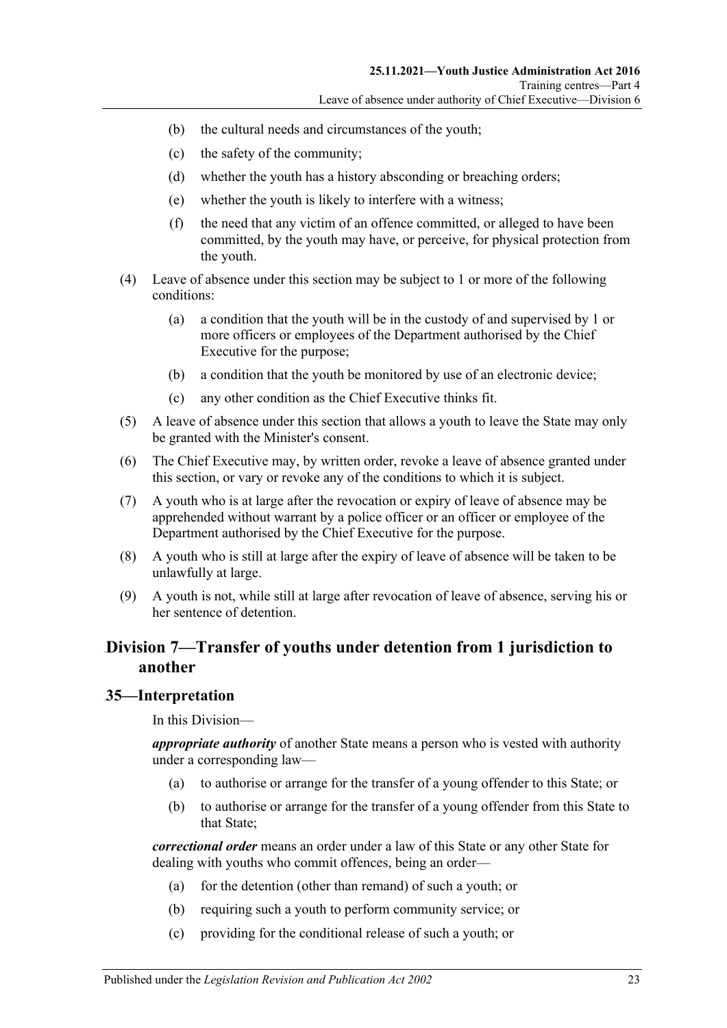- (b) the cultural needs and circumstances of the youth;
- (c) the safety of the community;
- (d) whether the youth has a history absconding or breaching orders;
- (e) whether the youth is likely to interfere with a witness;
- (f) the need that any victim of an offence committed, or alleged to have been committed, by the youth may have, or perceive, for physical protection from the youth.
- (4) Leave of absence under this section may be subject to 1 or more of the following conditions:
	- (a) a condition that the youth will be in the custody of and supervised by 1 or more officers or employees of the Department authorised by the Chief Executive for the purpose;
	- (b) a condition that the youth be monitored by use of an electronic device;
	- (c) any other condition as the Chief Executive thinks fit.
- (5) A leave of absence under this section that allows a youth to leave the State may only be granted with the Minister's consent.
- (6) The Chief Executive may, by written order, revoke a leave of absence granted under this section, or vary or revoke any of the conditions to which it is subject.
- (7) A youth who is at large after the revocation or expiry of leave of absence may be apprehended without warrant by a police officer or an officer or employee of the Department authorised by the Chief Executive for the purpose.
- (8) A youth who is still at large after the expiry of leave of absence will be taken to be unlawfully at large.
- (9) A youth is not, while still at large after revocation of leave of absence, serving his or her sentence of detention.

### <span id="page-22-0"></span>62B**Division 7—Transfer of youths under detention from 1 jurisdiction to another**

#### <span id="page-22-1"></span>48B**35—Interpretation**

In this Division—

*appropriate authority* of another State means a person who is vested with authority under a corresponding law—

- (a) to authorise or arrange for the transfer of a young offender to this State; or
- (b) to authorise or arrange for the transfer of a young offender from this State to that State;

*correctional order* means an order under a law of this State or any other State for dealing with youths who commit offences, being an order—

- (a) for the detention (other than remand) of such a youth; or
- (b) requiring such a youth to perform community service; or
- (c) providing for the conditional release of such a youth; or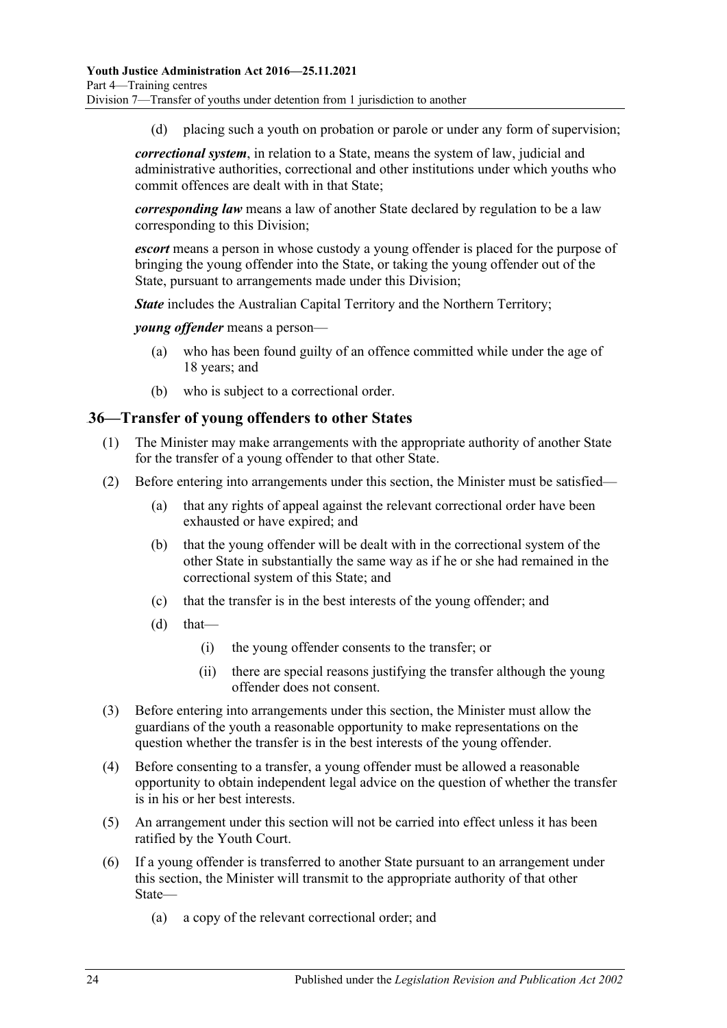(d) placing such a youth on probation or parole or under any form of supervision;

*correctional system*, in relation to a State, means the system of law, judicial and administrative authorities, correctional and other institutions under which youths who commit offences are dealt with in that State;

*corresponding law* means a law of another State declared by regulation to be a law corresponding to this Division;

*escort* means a person in whose custody a young offender is placed for the purpose of bringing the young offender into the State, or taking the young offender out of the State, pursuant to arrangements made under this Division;

*State* includes the Australian Capital Territory and the Northern Territory;

*young offender* means a person—

- (a) who has been found guilty of an offence committed while under the age of 18 years; and
- (b) who is subject to a correctional order.

#### <span id="page-23-0"></span>49B**36—Transfer of young offenders to other States**

- (1) The Minister may make arrangements with the appropriate authority of another State for the transfer of a young offender to that other State.
- (2) Before entering into arrangements under this section, the Minister must be satisfied—
	- (a) that any rights of appeal against the relevant correctional order have been exhausted or have expired; and
	- (b) that the young offender will be dealt with in the correctional system of the other State in substantially the same way as if he or she had remained in the correctional system of this State; and
	- (c) that the transfer is in the best interests of the young offender; and
	- $(d)$  that—
		- (i) the young offender consents to the transfer; or
		- (ii) there are special reasons justifying the transfer although the young offender does not consent.
- (3) Before entering into arrangements under this section, the Minister must allow the guardians of the youth a reasonable opportunity to make representations on the question whether the transfer is in the best interests of the young offender.
- (4) Before consenting to a transfer, a young offender must be allowed a reasonable opportunity to obtain independent legal advice on the question of whether the transfer is in his or her best interests.
- (5) An arrangement under this section will not be carried into effect unless it has been ratified by the Youth Court.
- (6) If a young offender is transferred to another State pursuant to an arrangement under this section, the Minister will transmit to the appropriate authority of that other State—
	- (a) a copy of the relevant correctional order; and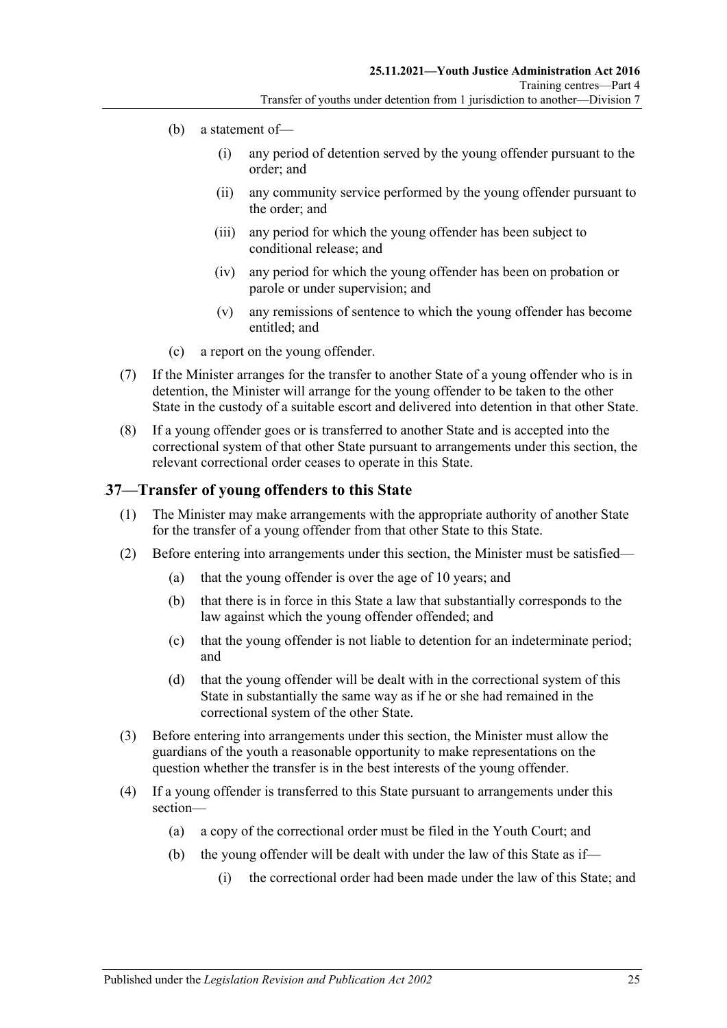- (b) a statement of—
	- (i) any period of detention served by the young offender pursuant to the order; and
	- (ii) any community service performed by the young offender pursuant to the order; and
	- (iii) any period for which the young offender has been subject to conditional release; and
	- (iv) any period for which the young offender has been on probation or parole or under supervision; and
	- (v) any remissions of sentence to which the young offender has become entitled; and
- (c) a report on the young offender.
- (7) If the Minister arranges for the transfer to another State of a young offender who is in detention, the Minister will arrange for the young offender to be taken to the other State in the custody of a suitable escort and delivered into detention in that other State.
- (8) If a young offender goes or is transferred to another State and is accepted into the correctional system of that other State pursuant to arrangements under this section, the relevant correctional order ceases to operate in this State.

#### <span id="page-24-0"></span>50B**37—Transfer of young offenders to this State**

- (1) The Minister may make arrangements with the appropriate authority of another State for the transfer of a young offender from that other State to this State.
- (2) Before entering into arrangements under this section, the Minister must be satisfied—
	- (a) that the young offender is over the age of 10 years; and
	- (b) that there is in force in this State a law that substantially corresponds to the law against which the young offender offended; and
	- (c) that the young offender is not liable to detention for an indeterminate period; and
	- (d) that the young offender will be dealt with in the correctional system of this State in substantially the same way as if he or she had remained in the correctional system of the other State.
- (3) Before entering into arrangements under this section, the Minister must allow the guardians of the youth a reasonable opportunity to make representations on the question whether the transfer is in the best interests of the young offender.
- (4) If a young offender is transferred to this State pursuant to arrangements under this section—
	- (a) a copy of the correctional order must be filed in the Youth Court; and
	- (b) the young offender will be dealt with under the law of this State as if—
		- (i) the correctional order had been made under the law of this State; and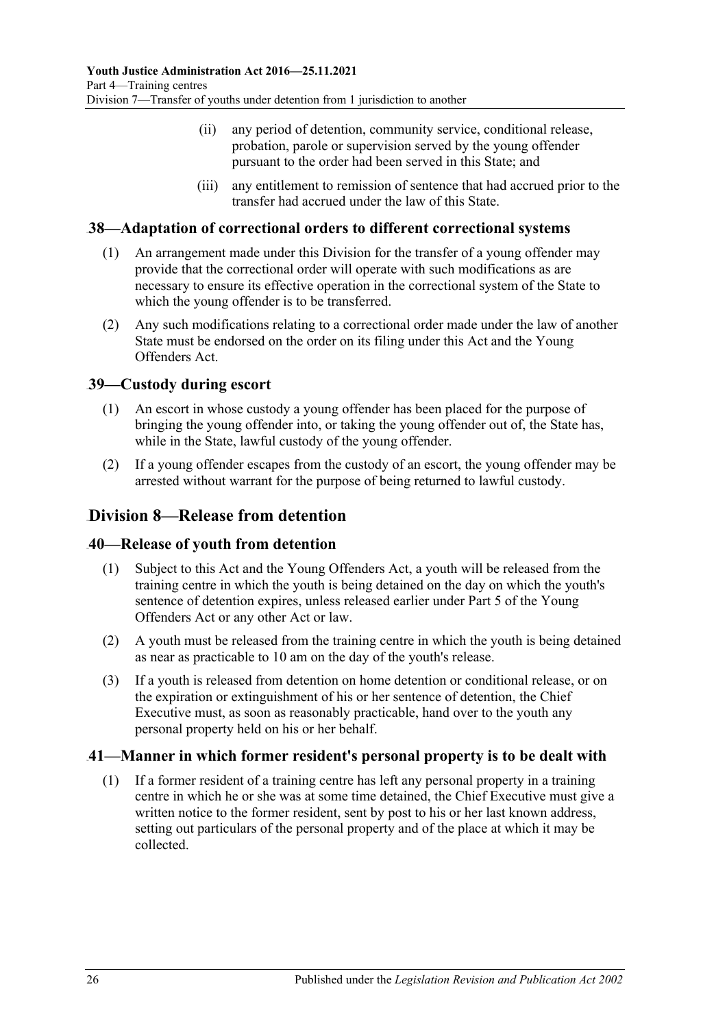- (ii) any period of detention, community service, conditional release, probation, parole or supervision served by the young offender pursuant to the order had been served in this State; and
- (iii) any entitlement to remission of sentence that had accrued prior to the transfer had accrued under the law of this State.

### <span id="page-25-0"></span>51B**38—Adaptation of correctional orders to different correctional systems**

- (1) An arrangement made under this Division for the transfer of a young offender may provide that the correctional order will operate with such modifications as are necessary to ensure its effective operation in the correctional system of the State to which the young offender is to be transferred.
- (2) Any such modifications relating to a correctional order made under the law of another State must be endorsed on the order on its filing under this Act and the Young Offenders Act.

### <span id="page-25-1"></span>52B**39—Custody during escort**

- (1) An escort in whose custody a young offender has been placed for the purpose of bringing the young offender into, or taking the young offender out of, the State has, while in the State, lawful custody of the young offender.
- (2) If a young offender escapes from the custody of an escort, the young offender may be arrested without warrant for the purpose of being returned to lawful custody.

### <span id="page-25-2"></span>63B**Division 8—Release from detention**

### <span id="page-25-3"></span>53B**40—Release of youth from detention**

- (1) Subject to this Act and the Young Offenders Act, a youth will be released from the training centre in which the youth is being detained on the day on which the youth's sentence of detention expires, unless released earlier under Part 5 of the Young Offenders Act or any other Act or law.
- (2) A youth must be released from the training centre in which the youth is being detained as near as practicable to 10 am on the day of the youth's release.
- (3) If a youth is released from detention on home detention or conditional release, or on the expiration or extinguishment of his or her sentence of detention, the Chief Executive must, as soon as reasonably practicable, hand over to the youth any personal property held on his or her behalf.

### <span id="page-25-5"></span><span id="page-25-4"></span>54B**41—Manner in which former resident's personal property is to be dealt with**

(1) If a former resident of a training centre has left any personal property in a training centre in which he or she was at some time detained, the Chief Executive must give a written notice to the former resident, sent by post to his or her last known address, setting out particulars of the personal property and of the place at which it may be collected.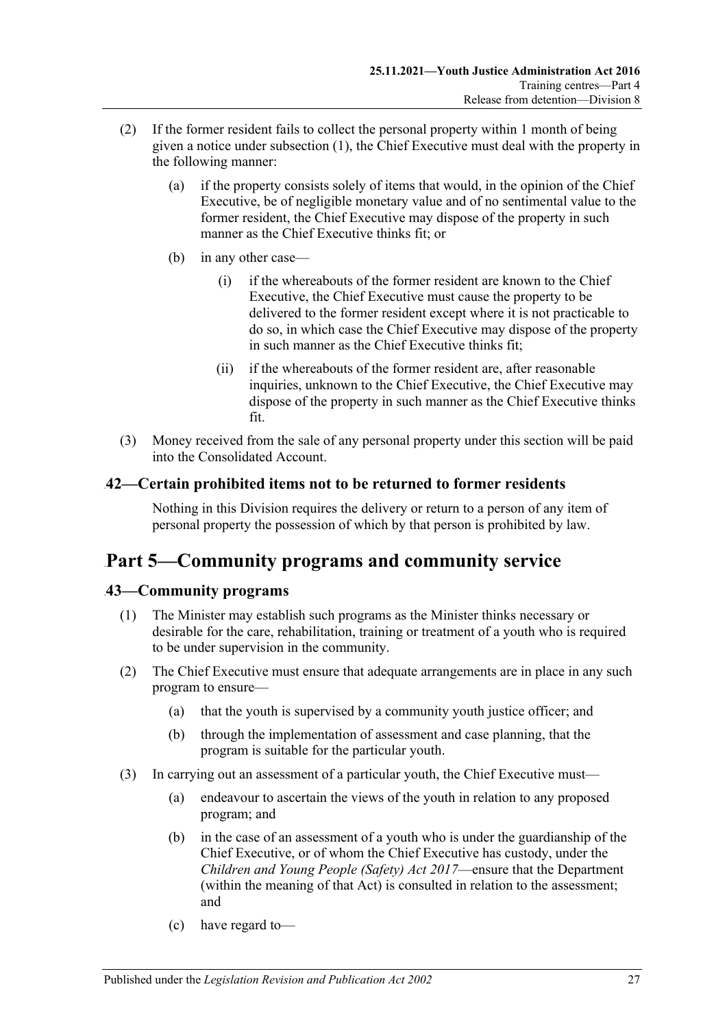- (2) If the former resident fails to collect the personal property within 1 month of being given a notice under [subsection](#page-25-5) (1), the Chief Executive must deal with the property in the following manner:
	- (a) if the property consists solely of items that would, in the opinion of the Chief Executive, be of negligible monetary value and of no sentimental value to the former resident, the Chief Executive may dispose of the property in such manner as the Chief Executive thinks fit; or
	- (b) in any other case—
		- (i) if the whereabouts of the former resident are known to the Chief Executive, the Chief Executive must cause the property to be delivered to the former resident except where it is not practicable to do so, in which case the Chief Executive may dispose of the property in such manner as the Chief Executive thinks fit;
		- (ii) if the whereabouts of the former resident are, after reasonable inquiries, unknown to the Chief Executive, the Chief Executive may dispose of the property in such manner as the Chief Executive thinks fit.
- (3) Money received from the sale of any personal property under this section will be paid into the Consolidated Account.

### <span id="page-26-0"></span>55B**42—Certain prohibited items not to be returned to former residents**

Nothing in this Division requires the delivery or return to a person of any item of personal property the possession of which by that person is prohibited by law.

## <span id="page-26-1"></span>69B**Part 5—Community programs and community service**

### <span id="page-26-2"></span>19B**43—Community programs**

- (1) The Minister may establish such programs as the Minister thinks necessary or desirable for the care, rehabilitation, training or treatment of a youth who is required to be under supervision in the community.
- (2) The Chief Executive must ensure that adequate arrangements are in place in any such program to ensure—
	- (a) that the youth is supervised by a community youth justice officer; and
	- (b) through the implementation of assessment and case planning, that the program is suitable for the particular youth.
- (3) In carrying out an assessment of a particular youth, the Chief Executive must—
	- (a) endeavour to ascertain the views of the youth in relation to any proposed program; and
	- (b) in the case of an assessment of a youth who is under the guardianship of the Chief Executive, or of whom the Chief Executive has custody, under the *[Children and Young People \(Safety\) Act](http://www.legislation.sa.gov.au/index.aspx?action=legref&type=act&legtitle=Children%20and%20Young%20People%20(Safety)%20Act%202017) 2017*—ensure that the Department (within the meaning of that Act) is consulted in relation to the assessment; and
	- (c) have regard to—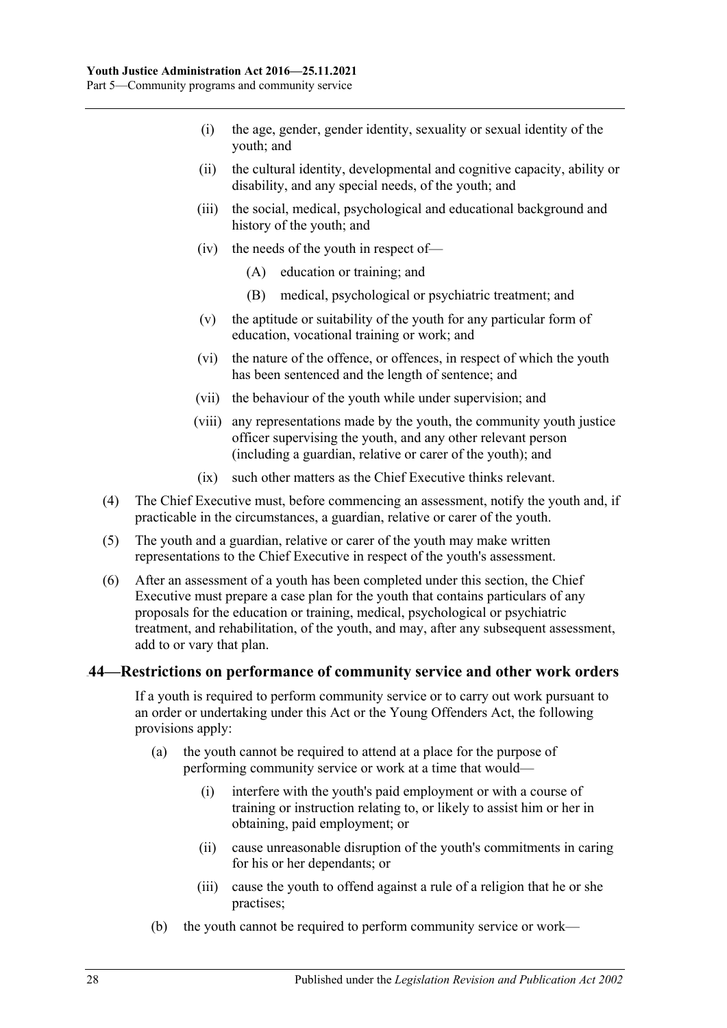- (i) the age, gender, gender identity, sexuality or sexual identity of the youth; and
- (ii) the cultural identity, developmental and cognitive capacity, ability or disability, and any special needs, of the youth; and
- (iii) the social, medical, psychological and educational background and history of the youth; and
- (iv) the needs of the youth in respect of—
	- (A) education or training; and
	- (B) medical, psychological or psychiatric treatment; and
- (v) the aptitude or suitability of the youth for any particular form of education, vocational training or work; and
- (vi) the nature of the offence, or offences, in respect of which the youth has been sentenced and the length of sentence; and
- (vii) the behaviour of the youth while under supervision; and
- (viii) any representations made by the youth, the community youth justice officer supervising the youth, and any other relevant person (including a guardian, relative or carer of the youth); and
- (ix) such other matters as the Chief Executive thinks relevant.
- (4) The Chief Executive must, before commencing an assessment, notify the youth and, if practicable in the circumstances, a guardian, relative or carer of the youth.
- (5) The youth and a guardian, relative or carer of the youth may make written representations to the Chief Executive in respect of the youth's assessment.
- (6) After an assessment of a youth has been completed under this section, the Chief Executive must prepare a case plan for the youth that contains particulars of any proposals for the education or training, medical, psychological or psychiatric treatment, and rehabilitation, of the youth, and may, after any subsequent assessment, add to or vary that plan.

#### <span id="page-27-0"></span>20B**44—Restrictions on performance of community service and other work orders**

If a youth is required to perform community service or to carry out work pursuant to an order or undertaking under this Act or the Young Offenders Act, the following provisions apply:

- (a) the youth cannot be required to attend at a place for the purpose of performing community service or work at a time that would—
	- (i) interfere with the youth's paid employment or with a course of training or instruction relating to, or likely to assist him or her in obtaining, paid employment; or
	- (ii) cause unreasonable disruption of the youth's commitments in caring for his or her dependants; or
	- (iii) cause the youth to offend against a rule of a religion that he or she practises;
- (b) the youth cannot be required to perform community service or work—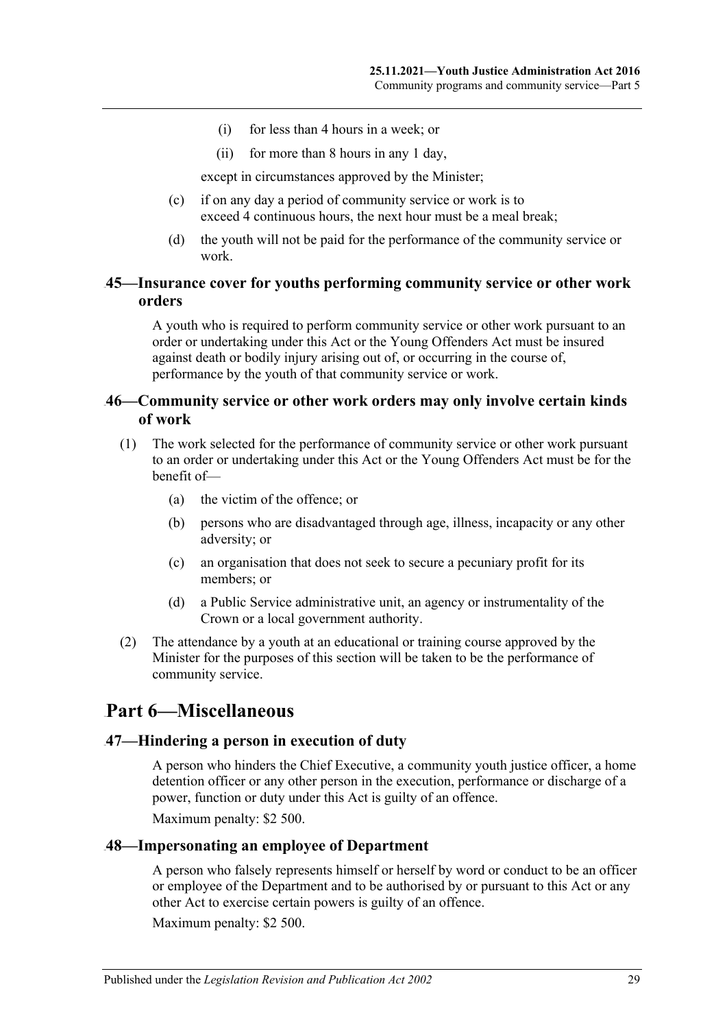- (i) for less than 4 hours in a week; or
- (ii) for more than 8 hours in any 1 day,

except in circumstances approved by the Minister;

- (c) if on any day a period of community service or work is to exceed 4 continuous hours, the next hour must be a meal break;
- (d) the youth will not be paid for the performance of the community service or work.

### <span id="page-28-0"></span>21B**45—Insurance cover for youths performing community service or other work orders**

A youth who is required to perform community service or other work pursuant to an order or undertaking under this Act or the Young Offenders Act must be insured against death or bodily injury arising out of, or occurring in the course of, performance by the youth of that community service or work.

### <span id="page-28-1"></span>22B**46—Community service or other work orders may only involve certain kinds of work**

- (1) The work selected for the performance of community service or other work pursuant to an order or undertaking under this Act or the Young Offenders Act must be for the benefit of—
	- (a) the victim of the offence; or
	- (b) persons who are disadvantaged through age, illness, incapacity or any other adversity; or
	- (c) an organisation that does not seek to secure a pecuniary profit for its members; or
	- (d) a Public Service administrative unit, an agency or instrumentality of the Crown or a local government authority.
- (2) The attendance by a youth at an educational or training course approved by the Minister for the purposes of this section will be taken to be the performance of community service.

## <span id="page-28-2"></span>70B**Part 6—Miscellaneous**

#### <span id="page-28-3"></span>23B**47—Hindering a person in execution of duty**

A person who hinders the Chief Executive, a community youth justice officer, a home detention officer or any other person in the execution, performance or discharge of a power, function or duty under this Act is guilty of an offence.

Maximum penalty: \$2 500.

#### <span id="page-28-4"></span>24B**48—Impersonating an employee of Department**

A person who falsely represents himself or herself by word or conduct to be an officer or employee of the Department and to be authorised by or pursuant to this Act or any other Act to exercise certain powers is guilty of an offence.

Maximum penalty: \$2 500.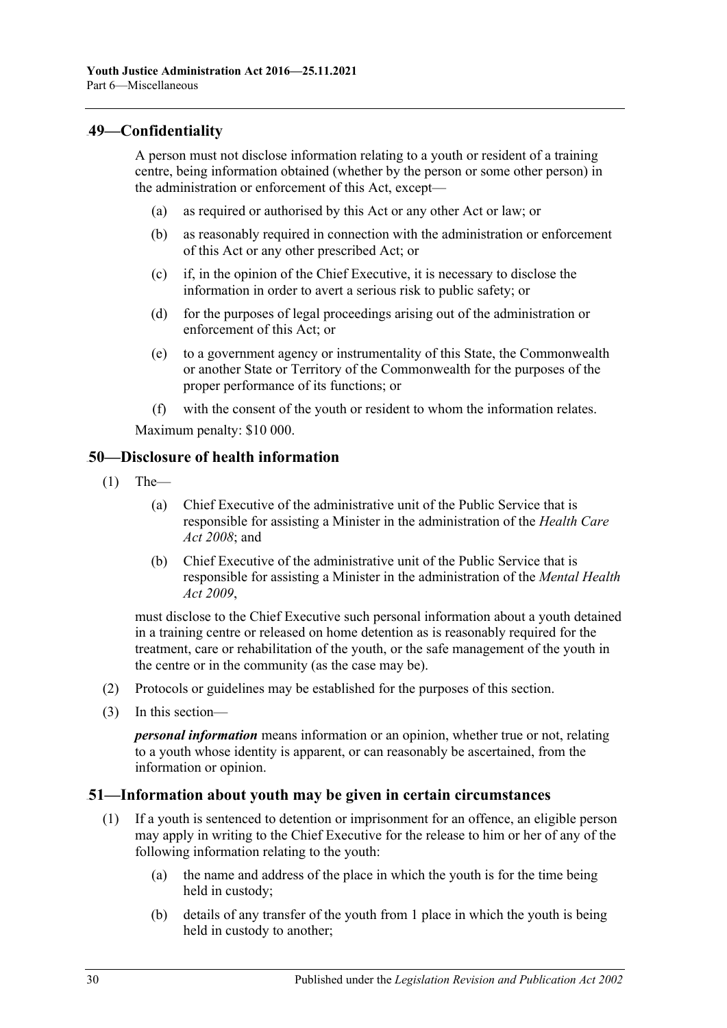### <span id="page-29-0"></span>25B**49—Confidentiality**

A person must not disclose information relating to a youth or resident of a training centre, being information obtained (whether by the person or some other person) in the administration or enforcement of this Act, except—

- (a) as required or authorised by this Act or any other Act or law; or
- (b) as reasonably required in connection with the administration or enforcement of this Act or any other prescribed Act; or
- (c) if, in the opinion of the Chief Executive, it is necessary to disclose the information in order to avert a serious risk to public safety; or
- (d) for the purposes of legal proceedings arising out of the administration or enforcement of this Act; or
- (e) to a government agency or instrumentality of this State, the Commonwealth or another State or Territory of the Commonwealth for the purposes of the proper performance of its functions; or
- (f) with the consent of the youth or resident to whom the information relates.

Maximum penalty: \$10 000.

#### <span id="page-29-1"></span>26B**50—Disclosure of health information**

- $(1)$  The-
	- (a) Chief Executive of the administrative unit of the Public Service that is responsible for assisting a Minister in the administration of the *[Health Care](http://www.legislation.sa.gov.au/index.aspx?action=legref&type=act&legtitle=Health%20Care%20Act%202008)  Act [2008](http://www.legislation.sa.gov.au/index.aspx?action=legref&type=act&legtitle=Health%20Care%20Act%202008)*; and
	- (b) Chief Executive of the administrative unit of the Public Service that is responsible for assisting a Minister in the administration of the *[Mental Health](http://www.legislation.sa.gov.au/index.aspx?action=legref&type=act&legtitle=Mental%20Health%20Act%202009)  Act [2009](http://www.legislation.sa.gov.au/index.aspx?action=legref&type=act&legtitle=Mental%20Health%20Act%202009)*,

must disclose to the Chief Executive such personal information about a youth detained in a training centre or released on home detention as is reasonably required for the treatment, care or rehabilitation of the youth, or the safe management of the youth in the centre or in the community (as the case may be).

- (2) Protocols or guidelines may be established for the purposes of this section.
- (3) In this section—

*personal information* means information or an opinion, whether true or not, relating to a youth whose identity is apparent, or can reasonably be ascertained, from the information or opinion.

### <span id="page-29-2"></span>27B**51—Information about youth may be given in certain circumstances**

- (1) If a youth is sentenced to detention or imprisonment for an offence, an eligible person may apply in writing to the Chief Executive for the release to him or her of any of the following information relating to the youth:
	- (a) the name and address of the place in which the youth is for the time being held in custody;
	- (b) details of any transfer of the youth from 1 place in which the youth is being held in custody to another;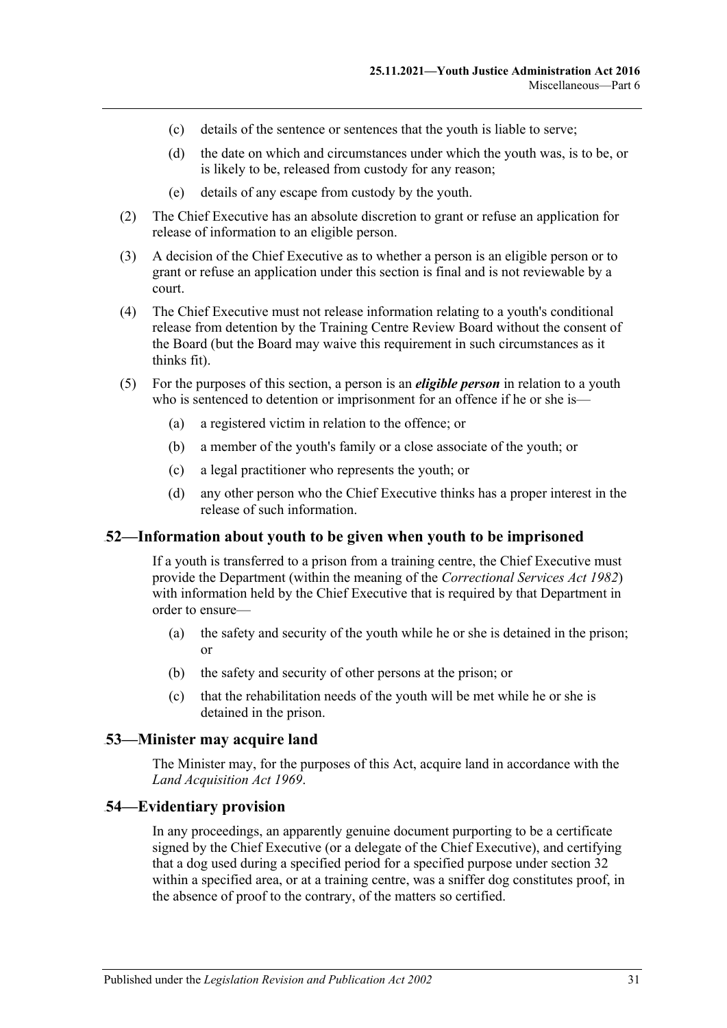- (c) details of the sentence or sentences that the youth is liable to serve;
- (d) the date on which and circumstances under which the youth was, is to be, or is likely to be, released from custody for any reason;
- (e) details of any escape from custody by the youth.
- (2) The Chief Executive has an absolute discretion to grant or refuse an application for release of information to an eligible person.
- (3) A decision of the Chief Executive as to whether a person is an eligible person or to grant or refuse an application under this section is final and is not reviewable by a court.
- (4) The Chief Executive must not release information relating to a youth's conditional release from detention by the Training Centre Review Board without the consent of the Board (but the Board may waive this requirement in such circumstances as it thinks fit).
- (5) For the purposes of this section, a person is an *eligible person* in relation to a youth who is sentenced to detention or imprisonment for an offence if he or she is—
	- (a) a registered victim in relation to the offence; or
	- (b) a member of the youth's family or a close associate of the youth; or
	- (c) a legal practitioner who represents the youth; or
	- (d) any other person who the Chief Executive thinks has a proper interest in the release of such information.

### <span id="page-30-0"></span>28B**52—Information about youth to be given when youth to be imprisoned**

If a youth is transferred to a prison from a training centre, the Chief Executive must provide the Department (within the meaning of the *[Correctional Services Act](http://www.legislation.sa.gov.au/index.aspx?action=legref&type=act&legtitle=Correctional%20Services%20Act%201982) 1982*) with information held by the Chief Executive that is required by that Department in order to ensure—

- (a) the safety and security of the youth while he or she is detained in the prison; or
- (b) the safety and security of other persons at the prison; or
- (c) that the rehabilitation needs of the youth will be met while he or she is detained in the prison.

#### <span id="page-30-1"></span>29B**53—Minister may acquire land**

The Minister may, for the purposes of this Act, acquire land in accordance with the *[Land Acquisition Act](http://www.legislation.sa.gov.au/index.aspx?action=legref&type=act&legtitle=Land%20Acquisition%20Act%201969) 1969*.

#### <span id="page-30-2"></span>30B**54—Evidentiary provision**

In any proceedings, an apparently genuine document purporting to be a certificate signed by the Chief Executive (or a delegate of the Chief Executive), and certifying that a dog used during a specified period for a specified purpose under [section](#page-19-1) 32 within a specified area, or at a training centre, was a sniffer dog constitutes proof, in the absence of proof to the contrary, of the matters so certified.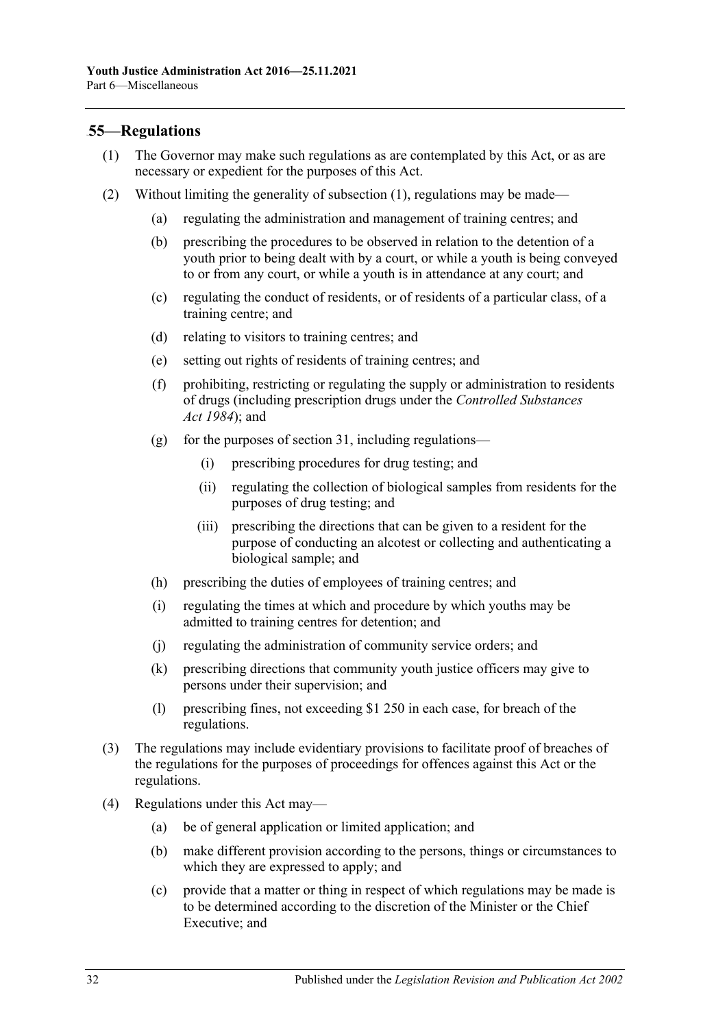### <span id="page-31-1"></span><span id="page-31-0"></span>31B**55—Regulations**

- (1) The Governor may make such regulations as are contemplated by this Act, or as are necessary or expedient for the purposes of this Act.
- (2) Without limiting the generality of [subsection](#page-31-1) (1), regulations may be made—
	- (a) regulating the administration and management of training centres; and
	- (b) prescribing the procedures to be observed in relation to the detention of a youth prior to being dealt with by a court, or while a youth is being conveyed to or from any court, or while a youth is in attendance at any court; and
	- (c) regulating the conduct of residents, or of residents of a particular class, of a training centre; and
	- (d) relating to visitors to training centres; and
	- (e) setting out rights of residents of training centres; and
	- (f) prohibiting, restricting or regulating the supply or administration to residents of drugs (including prescription drugs under the *[Controlled Substances](http://www.legislation.sa.gov.au/index.aspx?action=legref&type=act&legtitle=Controlled%20Substances%20Act%201984)  Act [1984](http://www.legislation.sa.gov.au/index.aspx?action=legref&type=act&legtitle=Controlled%20Substances%20Act%201984)*); and
	- (g) for the purposes of [section](#page-19-0) 31, including regulations—
		- (i) prescribing procedures for drug testing; and
		- (ii) regulating the collection of biological samples from residents for the purposes of drug testing; and
		- (iii) prescribing the directions that can be given to a resident for the purpose of conducting an alcotest or collecting and authenticating a biological sample; and
	- (h) prescribing the duties of employees of training centres; and
	- (i) regulating the times at which and procedure by which youths may be admitted to training centres for detention; and
	- (j) regulating the administration of community service orders; and
	- (k) prescribing directions that community youth justice officers may give to persons under their supervision; and
	- (l) prescribing fines, not exceeding \$1 250 in each case, for breach of the regulations.
- (3) The regulations may include evidentiary provisions to facilitate proof of breaches of the regulations for the purposes of proceedings for offences against this Act or the regulations.
- (4) Regulations under this Act may—
	- (a) be of general application or limited application; and
	- (b) make different provision according to the persons, things or circumstances to which they are expressed to apply; and
	- (c) provide that a matter or thing in respect of which regulations may be made is to be determined according to the discretion of the Minister or the Chief Executive; and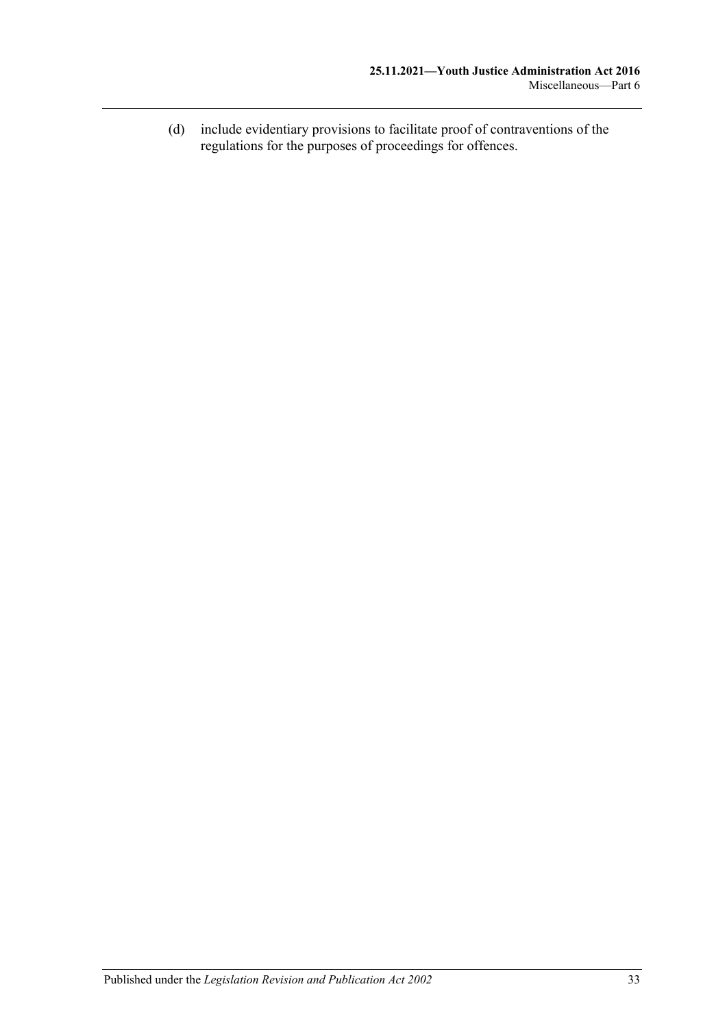(d) include evidentiary provisions to facilitate proof of contraventions of the regulations for the purposes of proceedings for offences.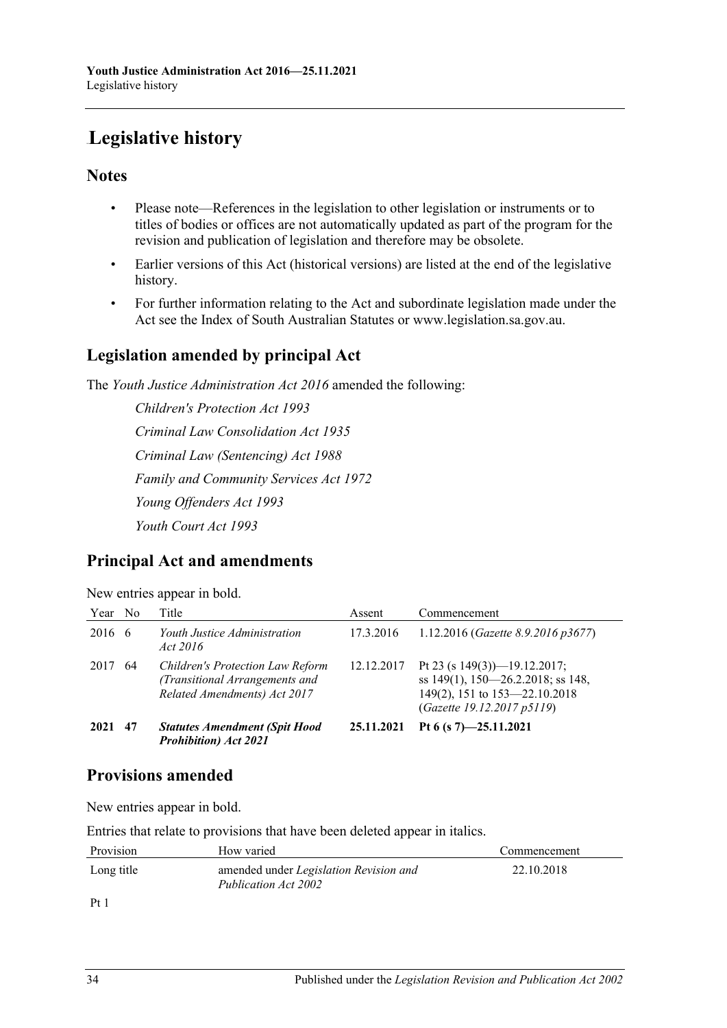# <span id="page-33-0"></span>64B**Legislative history**

### **Notes**

- Please note—References in the legislation to other legislation or instruments or to titles of bodies or offices are not automatically updated as part of the program for the revision and publication of legislation and therefore may be obsolete.
- Earlier versions of this Act (historical versions) are listed at the end of the legislative history.
- For further information relating to the Act and subordinate legislation made under the Act see the Index of South Australian Statutes or www.legislation.sa.gov.au.

## **Legislation amended by principal Act**

The *Youth Justice Administration Act 2016* amended the following:

*Children's Protection Act 1993 Criminal Law Consolidation Act 1935 Criminal Law (Sentencing) Act 1988 Family and Community Services Act 1972 Young Offenders Act 1993 Youth Court Act 1993*

## **Principal Act and amendments**

|  | New entries appear in bold. |  |
|--|-----------------------------|--|
|  |                             |  |

| Year No |    | Title                                                                                              | Assent     | Commencement                                                                                                                        |
|---------|----|----------------------------------------------------------------------------------------------------|------------|-------------------------------------------------------------------------------------------------------------------------------------|
| 2016 6  |    | Youth Justice Administration<br>Act 2016                                                           | 17.3.2016  | 1.12.2016 (Gazette 8.9.2016 p3677)                                                                                                  |
| 2017    | 64 | Children's Protection Law Reform<br>(Transitional Arrangements and<br>Related Amendments) Act 2017 | 12.12.2017 | Pt 23 (s $149(3)$ )-19.12.2017;<br>ss 149(1), 150-26.2.2018; ss 148,<br>149(2), 151 to 153-22.10.2018<br>(Gazette 19.12.2017 p5119) |
| 2021    | 47 | <b>Statutes Amendment (Spit Hood</b><br><b>Prohibition</b> ) Act 2021                              | 25.11.2021 | Pt 6 (s $7$ )-25.11.2021                                                                                                            |

### **Provisions amended**

New entries appear in bold.

Entries that relate to provisions that have been deleted appear in italics.

| Provision                     | How varied                                                            | Commencement |
|-------------------------------|-----------------------------------------------------------------------|--------------|
| Long title                    | amended under <i>Legislation Revision and</i><br>Publication Act 2002 | 22.10.2018   |
| $\mathbf{D} \cdot \mathbf{1}$ |                                                                       |              |